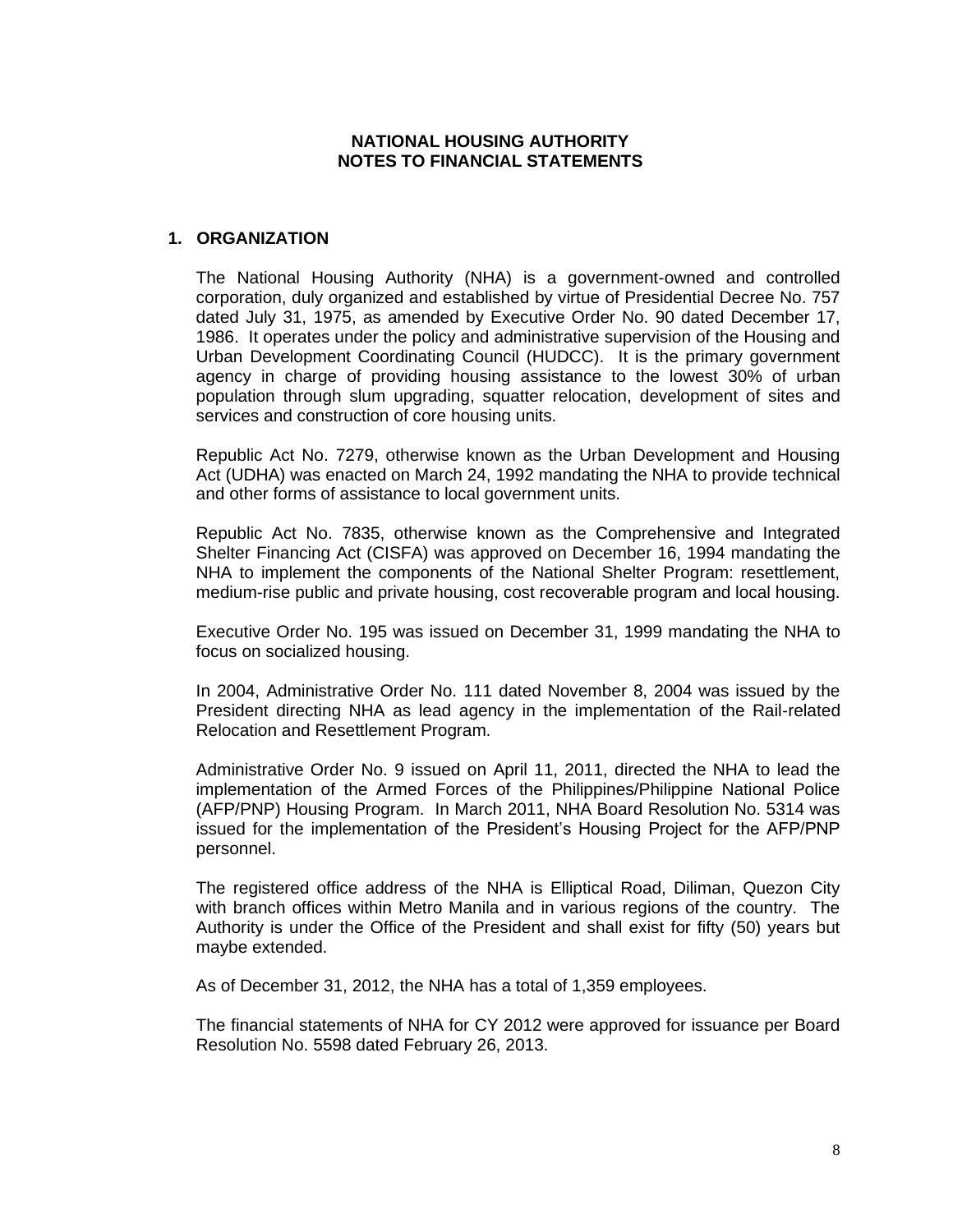# **NATIONAL HOUSING AUTHORITY NOTES TO FINANCIAL STATEMENTS**

# **1. ORGANIZATION**

The National Housing Authority (NHA) is a government-owned and controlled corporation, duly organized and established by virtue of Presidential Decree No. 757 dated July 31, 1975, as amended by Executive Order No. 90 dated December 17, 1986. It operates under the policy and administrative supervision of the Housing and Urban Development Coordinating Council (HUDCC). It is the primary government agency in charge of providing housing assistance to the lowest 30% of urban population through slum upgrading, squatter relocation, development of sites and services and construction of core housing units.

Republic Act No. 7279, otherwise known as the Urban Development and Housing Act (UDHA) was enacted on March 24, 1992 mandating the NHA to provide technical and other forms of assistance to local government units.

Republic Act No. 7835, otherwise known as the Comprehensive and Integrated Shelter Financing Act (CISFA) was approved on December 16, 1994 mandating the NHA to implement the components of the National Shelter Program: resettlement, medium-rise public and private housing, cost recoverable program and local housing.

Executive Order No. 195 was issued on December 31, 1999 mandating the NHA to focus on socialized housing.

In 2004, Administrative Order No. 111 dated November 8, 2004 was issued by the President directing NHA as lead agency in the implementation of the Rail-related Relocation and Resettlement Program.

Administrative Order No. 9 issued on April 11, 2011, directed the NHA to lead the implementation of the Armed Forces of the Philippines/Philippine National Police (AFP/PNP) Housing Program. In March 2011, NHA Board Resolution No. 5314 was issued for the implementation of the President's Housing Project for the AFP/PNP personnel.

The registered office address of the NHA is Elliptical Road, Diliman, Quezon City with branch offices within Metro Manila and in various regions of the country. The Authority is under the Office of the President and shall exist for fifty (50) years but maybe extended.

As of December 31, 2012, the NHA has a total of 1,359 employees.

The financial statements of NHA for CY 2012 were approved for issuance per Board Resolution No. 5598 dated February 26, 2013.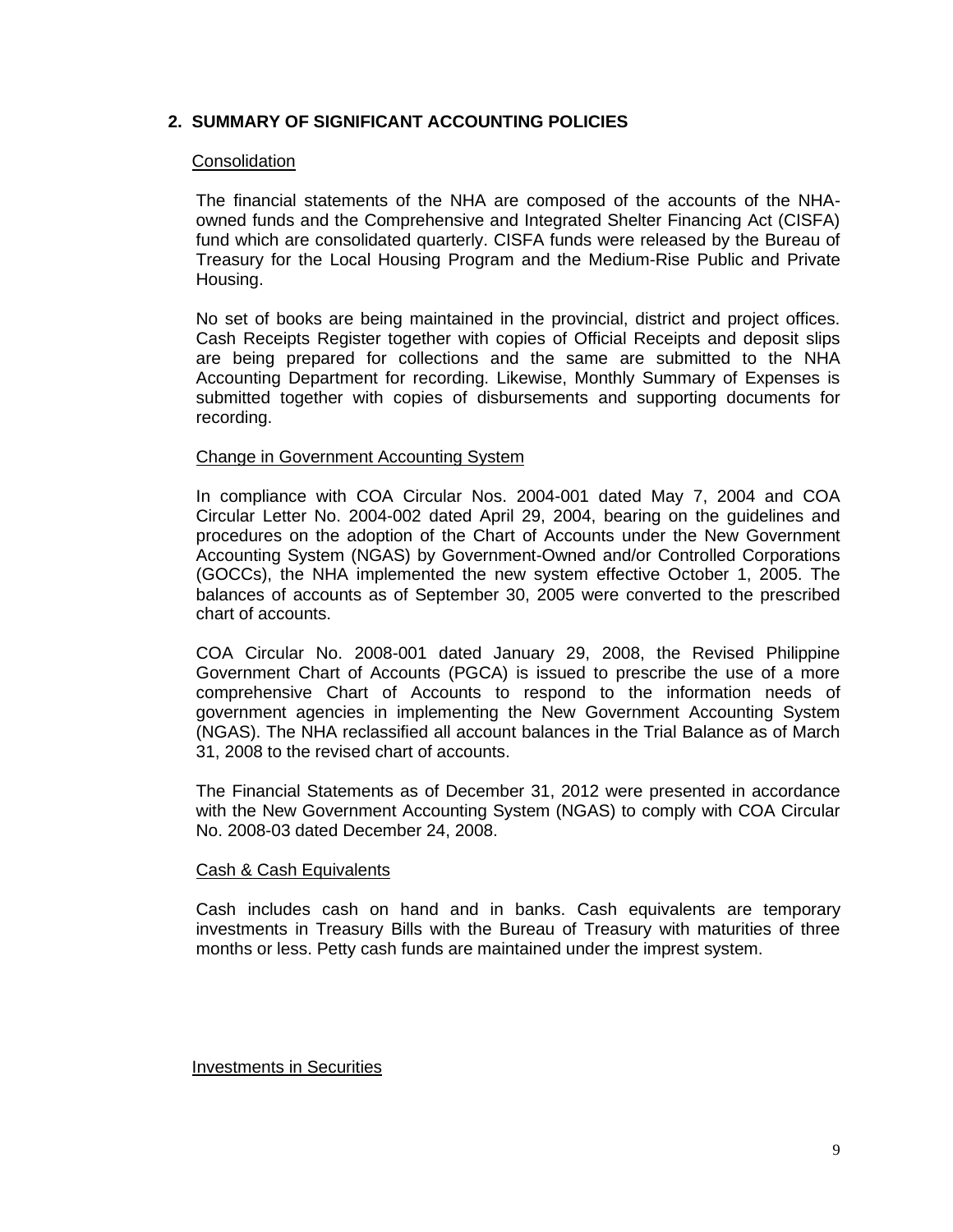# **2. SUMMARY OF SIGNIFICANT ACCOUNTING POLICIES**

### **Consolidation**

The financial statements of the NHA are composed of the accounts of the NHAowned funds and the Comprehensive and Integrated Shelter Financing Act (CISFA) fund which are consolidated quarterly. CISFA funds were released by the Bureau of Treasury for the Local Housing Program and the Medium-Rise Public and Private Housing.

No set of books are being maintained in the provincial, district and project offices. Cash Receipts Register together with copies of Official Receipts and deposit slips are being prepared for collections and the same are submitted to the NHA Accounting Department for recording. Likewise, Monthly Summary of Expenses is submitted together with copies of disbursements and supporting documents for recording.

## Change in Government Accounting System

In compliance with COA Circular Nos. 2004-001 dated May 7, 2004 and COA Circular Letter No. 2004-002 dated April 29, 2004, bearing on the guidelines and procedures on the adoption of the Chart of Accounts under the New Government Accounting System (NGAS) by Government-Owned and/or Controlled Corporations (GOCCs), the NHA implemented the new system effective October 1, 2005. The balances of accounts as of September 30, 2005 were converted to the prescribed chart of accounts.

COA Circular No. 2008-001 dated January 29, 2008, the Revised Philippine Government Chart of Accounts (PGCA) is issued to prescribe the use of a more comprehensive Chart of Accounts to respond to the information needs of government agencies in implementing the New Government Accounting System (NGAS). The NHA reclassified all account balances in the Trial Balance as of March 31, 2008 to the revised chart of accounts.

The Financial Statements as of December 31, 2012 were presented in accordance with the New Government Accounting System (NGAS) to comply with COA Circular No. 2008-03 dated December 24, 2008.

### Cash & Cash Equivalents

Cash includes cash on hand and in banks. Cash equivalents are temporary investments in Treasury Bills with the Bureau of Treasury with maturities of three months or less. Petty cash funds are maintained under the imprest system.

### Investments in Securities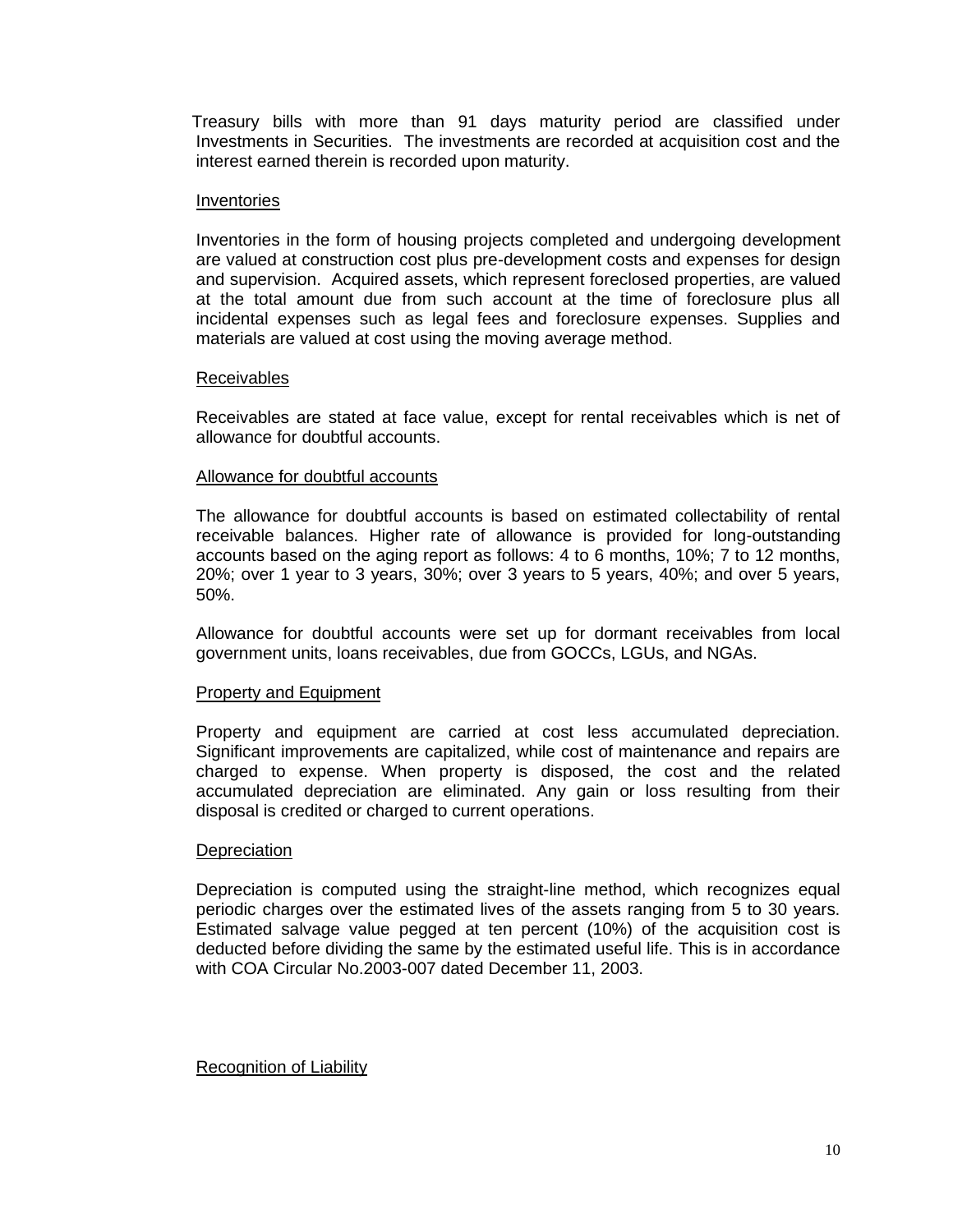Treasury bills with more than 91 days maturity period are classified under Investments in Securities. The investments are recorded at acquisition cost and the interest earned therein is recorded upon maturity.

### Inventories

Inventories in the form of housing projects completed and undergoing development are valued at construction cost plus pre-development costs and expenses for design and supervision. Acquired assets, which represent foreclosed properties, are valued at the total amount due from such account at the time of foreclosure plus all incidental expenses such as legal fees and foreclosure expenses. Supplies and materials are valued at cost using the moving average method.

### Receivables

Receivables are stated at face value, except for rental receivables which is net of allowance for doubtful accounts.

#### Allowance for doubtful accounts

The allowance for doubtful accounts is based on estimated collectability of rental receivable balances. Higher rate of allowance is provided for long-outstanding accounts based on the aging report as follows: 4 to 6 months, 10%; 7 to 12 months, 20%; over 1 year to 3 years, 30%; over 3 years to 5 years, 40%; and over 5 years, 50%.

Allowance for doubtful accounts were set up for dormant receivables from local government units, loans receivables, due from GOCCs, LGUs, and NGAs.

### Property and Equipment

Property and equipment are carried at cost less accumulated depreciation. Significant improvements are capitalized, while cost of maintenance and repairs are charged to expense. When property is disposed, the cost and the related accumulated depreciation are eliminated. Any gain or loss resulting from their disposal is credited or charged to current operations.

#### **Depreciation**

Depreciation is computed using the straight-line method, which recognizes equal periodic charges over the estimated lives of the assets ranging from 5 to 30 years. Estimated salvage value pegged at ten percent (10%) of the acquisition cost is deducted before dividing the same by the estimated useful life. This is in accordance with COA Circular No.2003-007 dated December 11, 2003.

### Recognition of Liability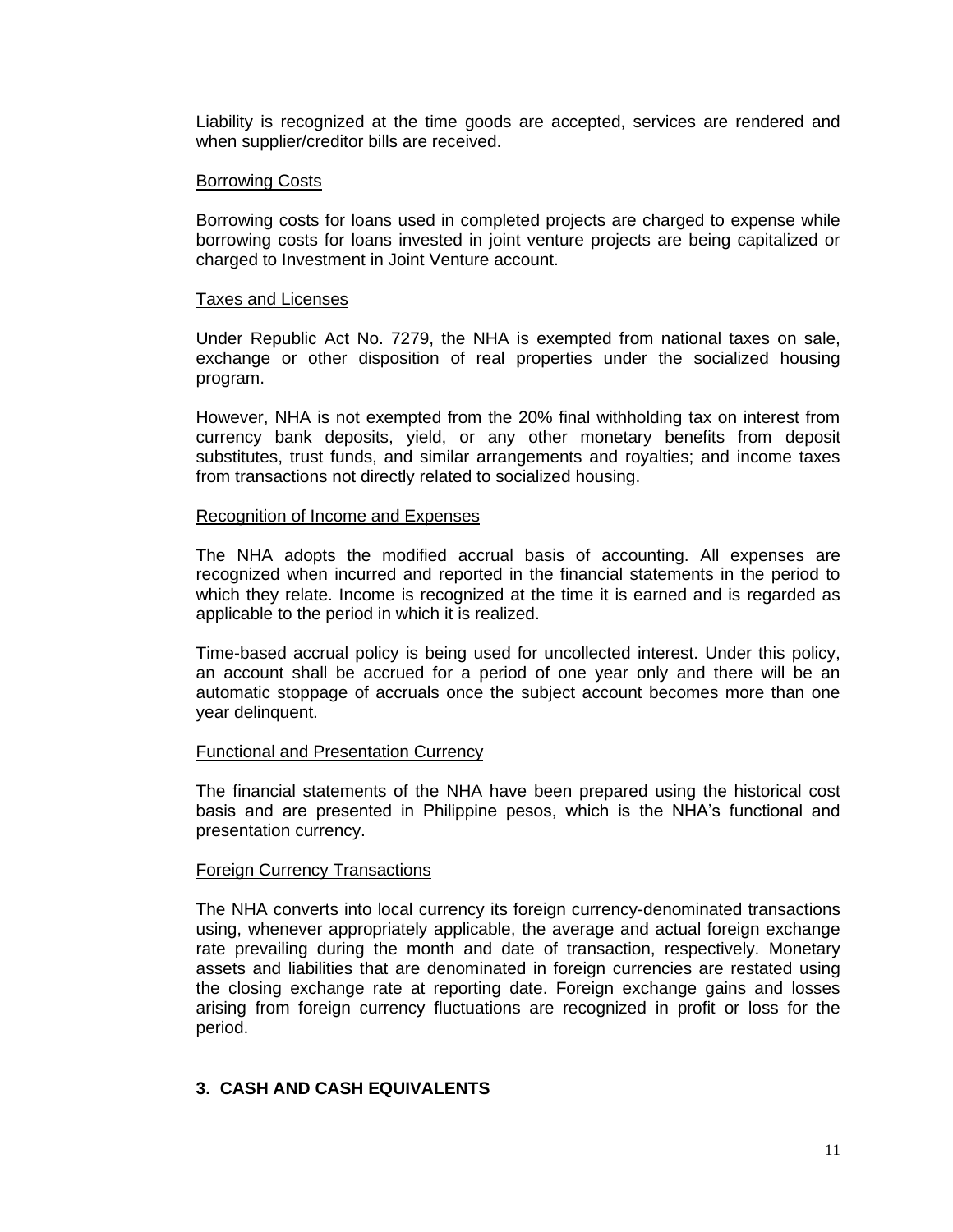Liability is recognized at the time goods are accepted, services are rendered and when supplier/creditor bills are received.

### Borrowing Costs

Borrowing costs for loans used in completed projects are charged to expense while borrowing costs for loans invested in joint venture projects are being capitalized or charged to Investment in Joint Venture account.

#### Taxes and Licenses

Under Republic Act No. 7279, the NHA is exempted from national taxes on sale, exchange or other disposition of real properties under the socialized housing program.

However, NHA is not exempted from the 20% final withholding tax on interest from currency bank deposits, yield, or any other monetary benefits from deposit substitutes, trust funds, and similar arrangements and royalties; and income taxes from transactions not directly related to socialized housing.

#### Recognition of Income and Expenses

The NHA adopts the modified accrual basis of accounting. All expenses are recognized when incurred and reported in the financial statements in the period to which they relate. Income is recognized at the time it is earned and is regarded as applicable to the period in which it is realized.

Time-based accrual policy is being used for uncollected interest. Under this policy, an account shall be accrued for a period of one year only and there will be an automatic stoppage of accruals once the subject account becomes more than one year delinquent.

### Functional and Presentation Currency

The financial statements of the NHA have been prepared using the historical cost basis and are presented in Philippine pesos, which is the NHA's functional and presentation currency.

### Foreign Currency Transactions

The NHA converts into local currency its foreign currency-denominated transactions using, whenever appropriately applicable, the average and actual foreign exchange rate prevailing during the month and date of transaction, respectively. Monetary assets and liabilities that are denominated in foreign currencies are restated using the closing exchange rate at reporting date. Foreign exchange gains and losses arising from foreign currency fluctuations are recognized in profit or loss for the period.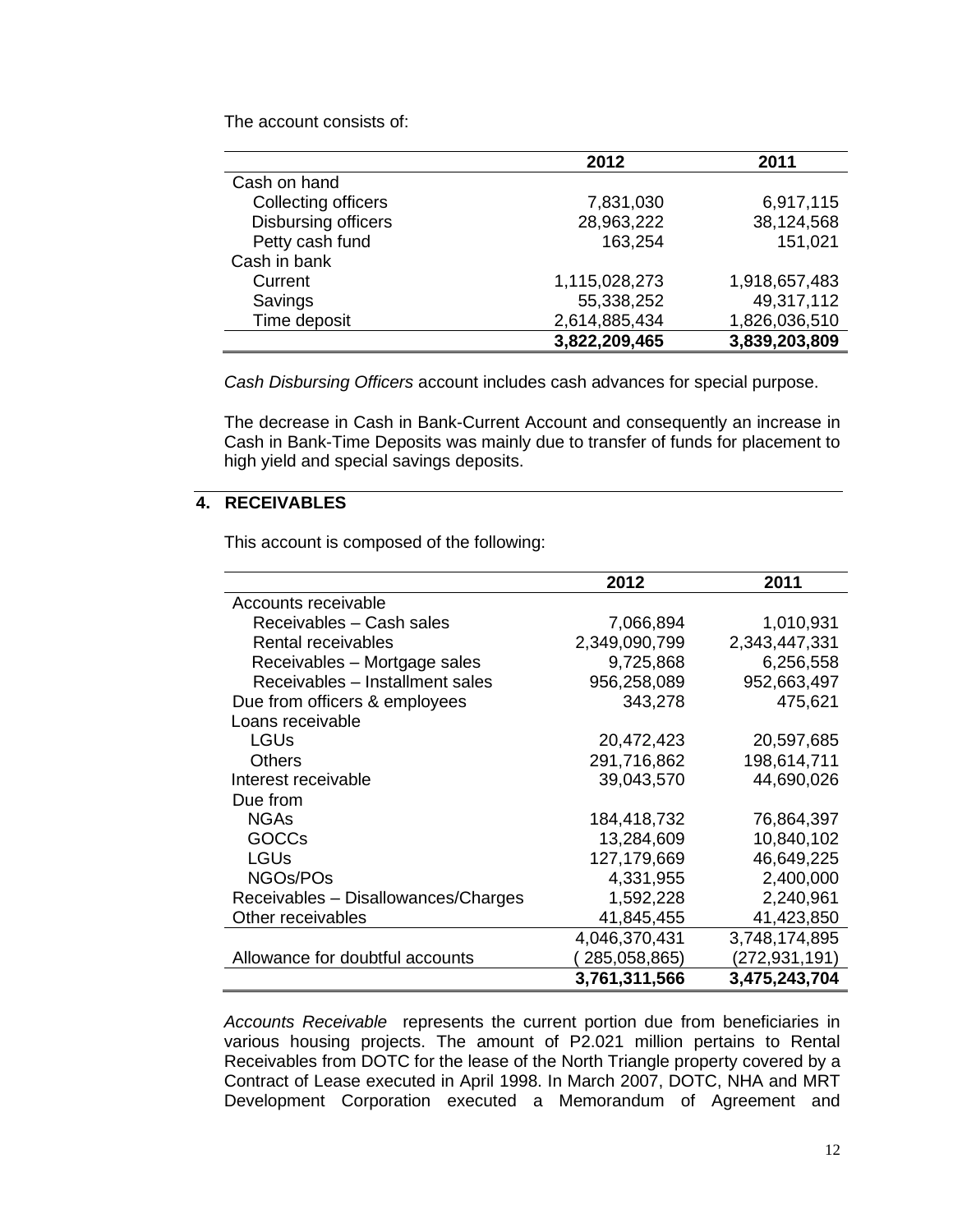The account consists of:

|                     | 2012          | 2011          |  |
|---------------------|---------------|---------------|--|
| Cash on hand        |               |               |  |
| Collecting officers | 7,831,030     | 6,917,115     |  |
| Disbursing officers | 28,963,222    | 38,124,568    |  |
| Petty cash fund     | 163,254       | 151,021       |  |
| Cash in bank        |               |               |  |
| Current             | 1,115,028,273 | 1,918,657,483 |  |
| Savings             | 55,338,252    | 49,317,112    |  |
| Time deposit        | 2,614,885,434 | 1,826,036,510 |  |
|                     | 3,822,209,465 | 3,839,203,809 |  |

*Cash Disbursing Officers* account includes cash advances for special purpose.

The decrease in Cash in Bank-Current Account and consequently an increase in Cash in Bank-Time Deposits was mainly due to transfer of funds for placement to high yield and special savings deposits.

# **4. RECEIVABLES**

This account is composed of the following:

|                                     | 2012          | 2011          |
|-------------------------------------|---------------|---------------|
| Accounts receivable                 |               |               |
| Receivables - Cash sales            | 7,066,894     | 1,010,931     |
| Rental receivables                  | 2,349,090,799 | 2,343,447,331 |
| Receivables - Mortgage sales        | 9,725,868     | 6,256,558     |
| Receivables - Installment sales     | 956,258,089   | 952,663,497   |
| Due from officers & employees       | 343,278       | 475,621       |
| Loans receivable                    |               |               |
| <b>LGUs</b>                         | 20,472,423    | 20,597,685    |
| <b>Others</b>                       | 291,716,862   | 198,614,711   |
| Interest receivable                 | 39,043,570    | 44,690,026    |
| Due from                            |               |               |
| <b>NGAs</b>                         | 184,418,732   | 76,864,397    |
| <b>GOCCs</b>                        | 13,284,609    | 10,840,102    |
| <b>LGUs</b>                         | 127,179,669   | 46,649,225    |
| NGOs/POs                            | 4,331,955     | 2,400,000     |
| Receivables - Disallowances/Charges | 1,592,228     | 2,240,961     |
| Other receivables                   | 41,845,455    | 41,423,850    |
|                                     | 4,046,370,431 | 3,748,174,895 |
| Allowance for doubtful accounts     | 285,058,865)  | (272,931,191) |
|                                     | 3,761,311,566 | 3,475,243,704 |

*Accounts Receivable* represents the current portion due from beneficiaries in various housing projects. The amount of P2.021 million pertains to Rental Receivables from DOTC for the lease of the North Triangle property covered by a Contract of Lease executed in April 1998. In March 2007, DOTC, NHA and MRT Development Corporation executed a Memorandum of Agreement and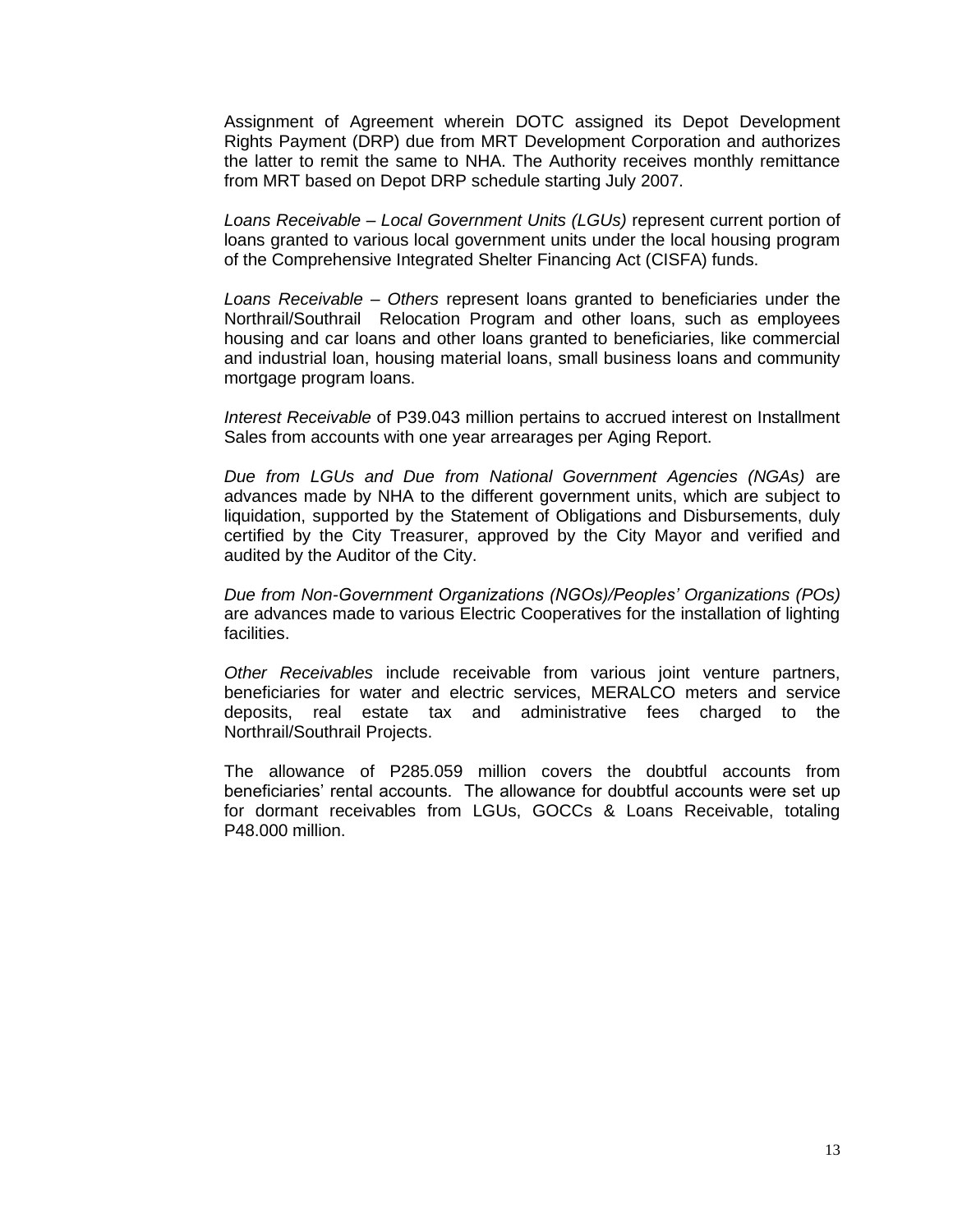Assignment of Agreement wherein DOTC assigned its Depot Development Rights Payment (DRP) due from MRT Development Corporation and authorizes the latter to remit the same to NHA. The Authority receives monthly remittance from MRT based on Depot DRP schedule starting July 2007.

*Loans Receivable – Local Government Units (LGUs)* represent current portion of loans granted to various local government units under the local housing program of the Comprehensive Integrated Shelter Financing Act (CISFA) funds.

*Loans Receivable – Others* represent loans granted to beneficiaries under the Northrail/Southrail Relocation Program and other loans, such as employees housing and car loans and other loans granted to beneficiaries, like commercial and industrial loan, housing material loans, small business loans and community mortgage program loans.

*Interest Receivable* of P39.043 million pertains to accrued interest on Installment Sales from accounts with one year arrearages per Aging Report.

*Due from LGUs and Due from National Government Agencies (NGAs)* are advances made by NHA to the different government units, which are subject to liquidation, supported by the Statement of Obligations and Disbursements, duly certified by the City Treasurer, approved by the City Mayor and verified and audited by the Auditor of the City.

*Due from Non-Government Organizations (NGOs)/Peoples' Organizations (POs)*  are advances made to various Electric Cooperatives for the installation of lighting facilities.

*Other Receivables* include receivable from various joint venture partners, beneficiaries for water and electric services, MERALCO meters and service deposits, real estate tax and administrative fees charged to the Northrail/Southrail Projects.

The allowance of P285.059 million covers the doubtful accounts from beneficiaries' rental accounts. The allowance for doubtful accounts were set up for dormant receivables from LGUs, GOCCs & Loans Receivable, totaling P48.000 million.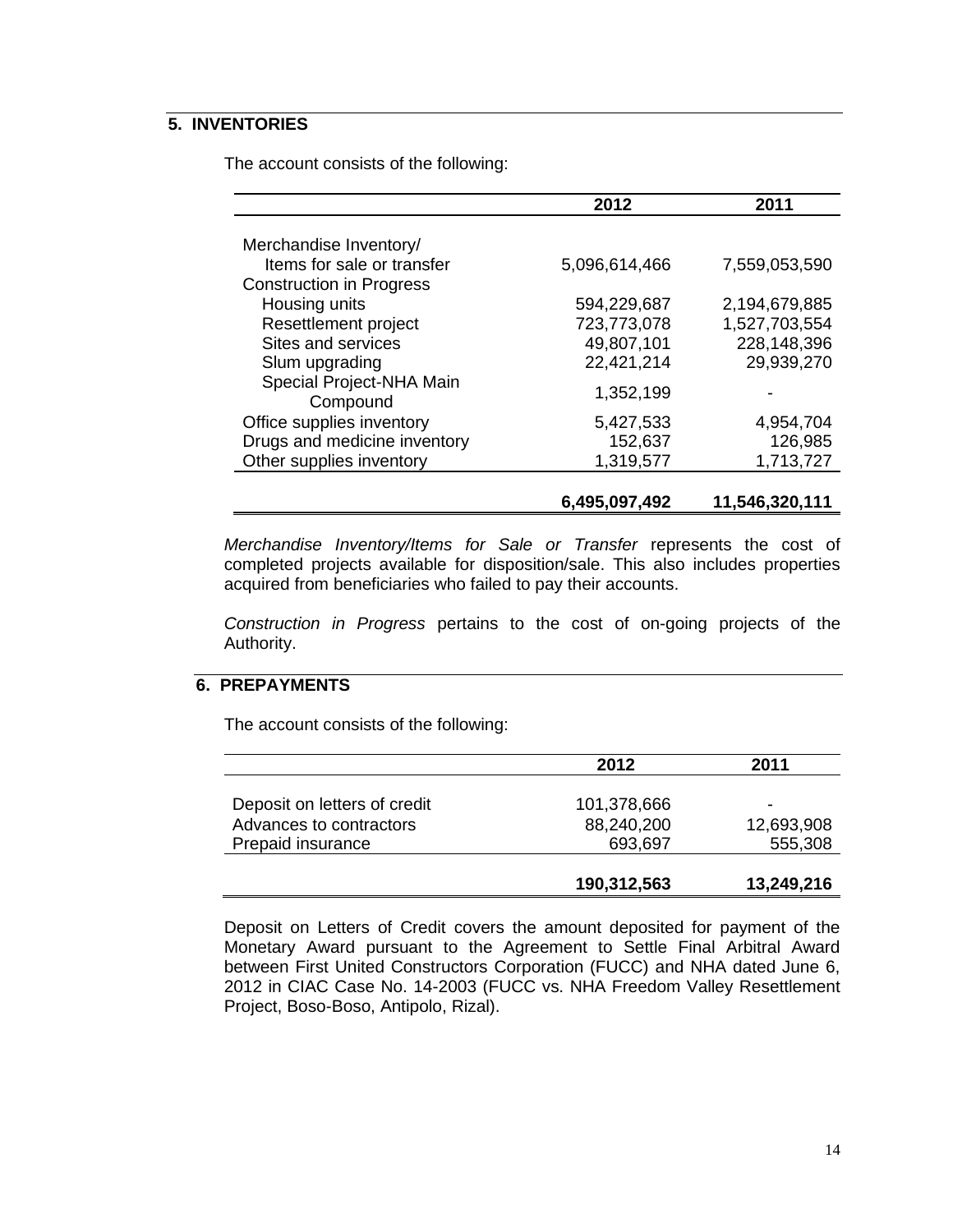# **5. INVENTORIES**

The account consists of the following:

|                                 | 2012          | 2011           |
|---------------------------------|---------------|----------------|
|                                 |               |                |
| Merchandise Inventory/          |               |                |
| Items for sale or transfer      | 5,096,614,466 | 7,559,053,590  |
| <b>Construction in Progress</b> |               |                |
| Housing units                   | 594,229,687   | 2,194,679,885  |
| Resettlement project            | 723,773,078   | 1,527,703,554  |
| Sites and services              | 49,807,101    | 228,148,396    |
| Slum upgrading                  | 22,421,214    | 29,939,270     |
| Special Project-NHA Main        |               |                |
| Compound                        | 1,352,199     |                |
| Office supplies inventory       | 5,427,533     | 4,954,704      |
| Drugs and medicine inventory    | 152,637       | 126,985        |
| Other supplies inventory        | 1,319,577     | 1,713,727      |
|                                 |               |                |
|                                 | 6,495,097,492 | 11,546,320,111 |

*Merchandise Inventory/Items for Sale or Transfer* represents the cost of completed projects available for disposition/sale. This also includes properties acquired from beneficiaries who failed to pay their accounts.

*Construction in Progress* pertains to the cost of on-going projects of the Authority.

## **6. PREPAYMENTS**

The account consists of the following:

|                              | 2012        | 2011       |  |
|------------------------------|-------------|------------|--|
|                              |             |            |  |
| Deposit on letters of credit | 101,378,666 |            |  |
| Advances to contractors      | 88,240,200  | 12,693,908 |  |
| Prepaid insurance            | 693,697     | 555,308    |  |
|                              |             |            |  |
|                              | 190,312,563 | 13,249,216 |  |

Deposit on Letters of Credit covers the amount deposited for payment of the Monetary Award pursuant to the Agreement to Settle Final Arbitral Award between First United Constructors Corporation (FUCC) and NHA dated June 6, 2012 in CIAC Case No. 14-2003 (FUCC vs. NHA Freedom Valley Resettlement Project, Boso-Boso, Antipolo, Rizal).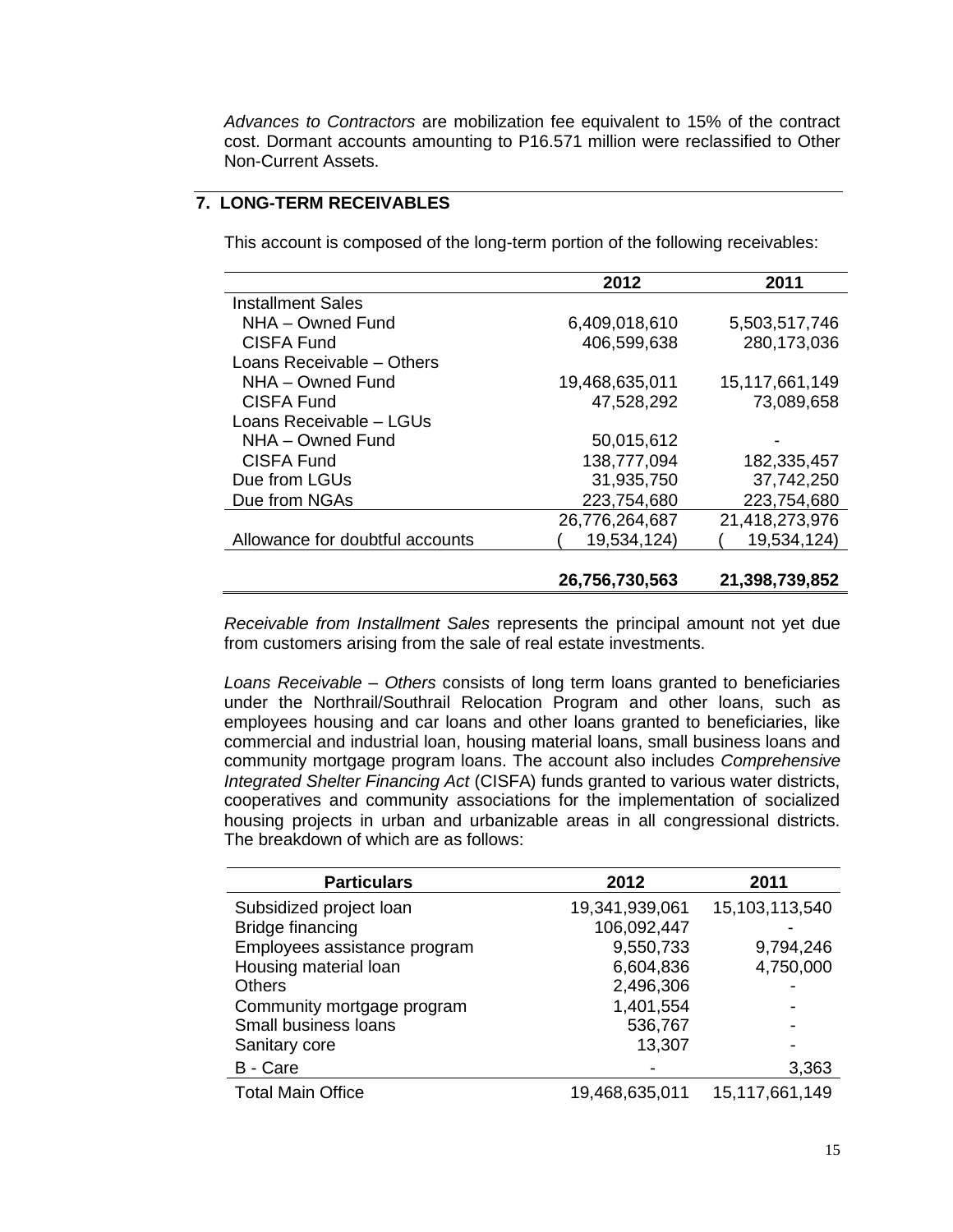*Advances to Contractors* are mobilization fee equivalent to 15% of the contract cost. Dormant accounts amounting to P16.571 million were reclassified to Other Non-Current Assets.

# **7. LONG-TERM RECEIVABLES**

|                                 | 2012           | 2011           |
|---------------------------------|----------------|----------------|
| <b>Installment Sales</b>        |                |                |
| NHA – Owned Fund                | 6,409,018,610  | 5,503,517,746  |
| <b>CISFA Fund</b>               | 406,599,638    | 280,173,036    |
| Loans Receivable - Others       |                |                |
| NHA - Owned Fund                | 19,468,635,011 | 15,117,661,149 |
| CISFA Fund                      | 47,528,292     | 73,089,658     |
| Loans Receivable - LGUs         |                |                |
| NHA - Owned Fund                | 50,015,612     |                |
| <b>CISFA Fund</b>               | 138,777,094    | 182,335,457    |
| Due from LGUs                   | 31,935,750     | 37,742,250     |
| Due from NGAs                   | 223,754,680    | 223,754,680    |
|                                 | 26,776,264,687 | 21,418,273,976 |
| Allowance for doubtful accounts | 19,534,124)    | 19,534,124)    |
|                                 |                |                |
|                                 | 26,756,730,563 | 21,398,739,852 |

This account is composed of the long-term portion of the following receivables:

*Receivable from Installment Sales* represents the principal amount not yet due from customers arising from the sale of real estate investments.

*Loans Receivable – Others* consists of long term loans granted to beneficiaries under the Northrail/Southrail Relocation Program and other loans, such as employees housing and car loans and other loans granted to beneficiaries, like commercial and industrial loan, housing material loans, small business loans and community mortgage program loans. The account also includes *Comprehensive Integrated Shelter Financing Act* (CISFA) funds granted to various water districts, cooperatives and community associations for the implementation of socialized housing projects in urban and urbanizable areas in all congressional districts. The breakdown of which are as follows:

| <b>Particulars</b>           | 2012           | 2011           |  |
|------------------------------|----------------|----------------|--|
| Subsidized project loan      | 19,341,939,061 | 15,103,113,540 |  |
| Bridge financing             | 106,092,447    |                |  |
| Employees assistance program | 9,550,733      | 9,794,246      |  |
| Housing material loan        | 6,604,836      | 4,750,000      |  |
| <b>Others</b>                | 2,496,306      |                |  |
| Community mortgage program   | 1,401,554      |                |  |
| Small business loans         | 536,767        |                |  |
| Sanitary core                | 13,307         |                |  |
| B - Care                     |                | 3,363          |  |
| <b>Total Main Office</b>     | 19,468,635,011 | 15,117,661,149 |  |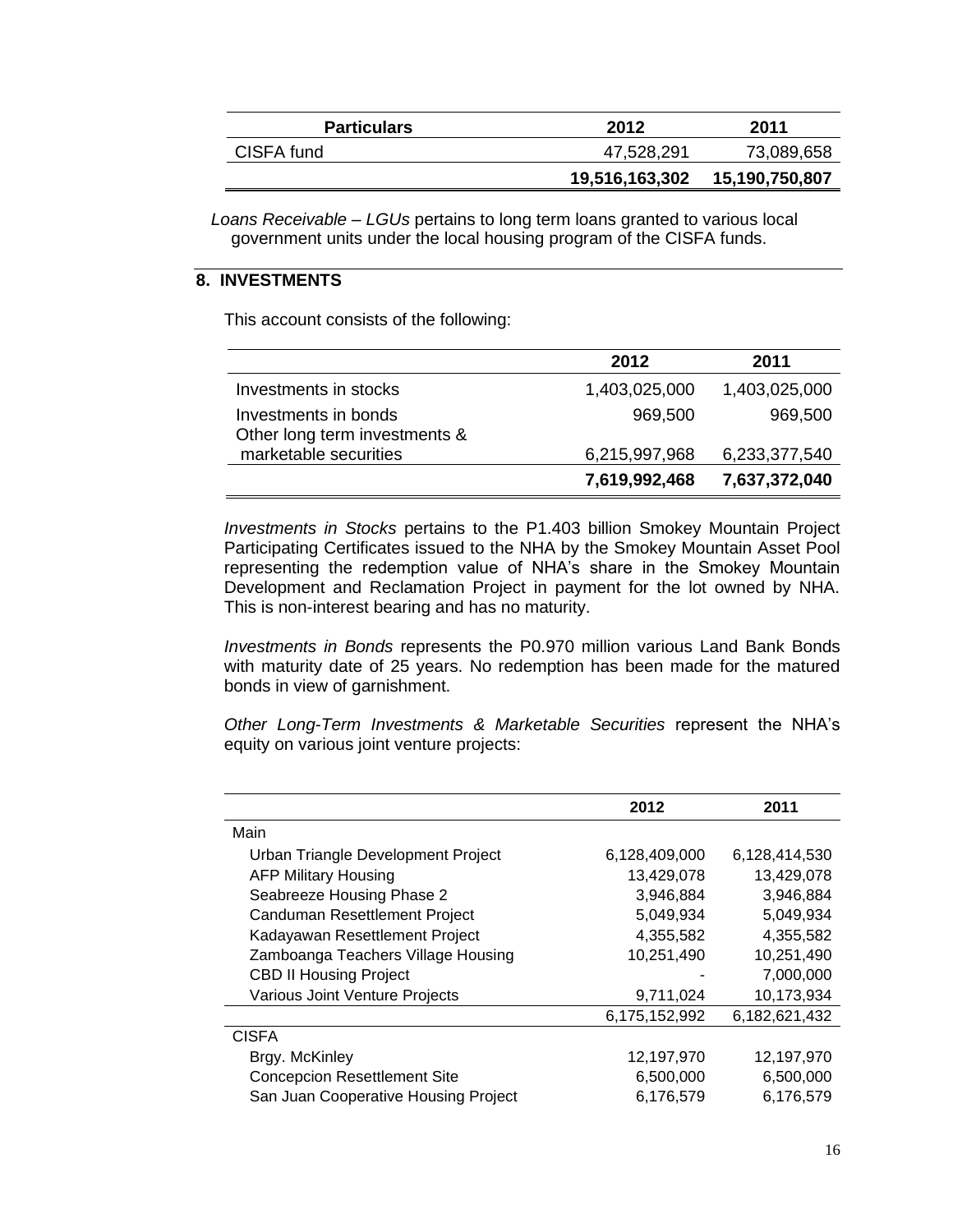| <b>Particulars</b> | 2012           | 2011           |  |
|--------------------|----------------|----------------|--|
| CISFA fund         | 47,528,291     | 73,089,658     |  |
|                    | 19,516,163,302 | 15,190,750,807 |  |

 *Loans Receivable – LGUs* pertains to long term loans granted to various local government units under the local housing program of the CISFA funds.

# **8. INVESTMENTS**

This account consists of the following:

|                                                       | 2012          | 2011          |
|-------------------------------------------------------|---------------|---------------|
| Investments in stocks                                 | 1,403,025,000 | 1,403,025,000 |
| Investments in bonds<br>Other long term investments & | 969,500       | 969,500       |
| marketable securities                                 | 6,215,997,968 | 6,233,377,540 |
|                                                       | 7,619,992,468 | 7,637,372,040 |

*Investments in Stocks* pertains to the P1.403 billion Smokey Mountain Project Participating Certificates issued to the NHA by the Smokey Mountain Asset Pool representing the redemption value of NHA's share in the Smokey Mountain Development and Reclamation Project in payment for the lot owned by NHA. This is non-interest bearing and has no maturity.

*Investments in Bonds* represents the P0.970 million various Land Bank Bonds with maturity date of 25 years. No redemption has been made for the matured bonds in view of garnishment.

*Other Long-Term Investments & Marketable Securities* represent the NHA's equity on various joint venture projects:

|                                      | 2012          | 2011          |
|--------------------------------------|---------------|---------------|
| Main                                 |               |               |
| Urban Triangle Development Project   | 6,128,409,000 | 6,128,414,530 |
| <b>AFP Military Housing</b>          | 13,429,078    | 13,429,078    |
| Seabreeze Housing Phase 2            | 3,946,884     | 3,946,884     |
| Canduman Resettlement Project        | 5,049,934     | 5,049,934     |
| Kadayawan Resettlement Project       | 4,355,582     | 4,355,582     |
| Zamboanga Teachers Village Housing   | 10,251,490    | 10,251,490    |
| <b>CBD II Housing Project</b>        |               | 7,000,000     |
| Various Joint Venture Projects       | 9,711,024     | 10,173,934    |
|                                      | 6,175,152,992 | 6,182,621,432 |
| <b>CISFA</b>                         |               |               |
| Brgy. McKinley                       | 12,197,970    | 12,197,970    |
| <b>Concepcion Resettlement Site</b>  | 6,500,000     | 6,500,000     |
| San Juan Cooperative Housing Project | 6,176,579     | 6,176,579     |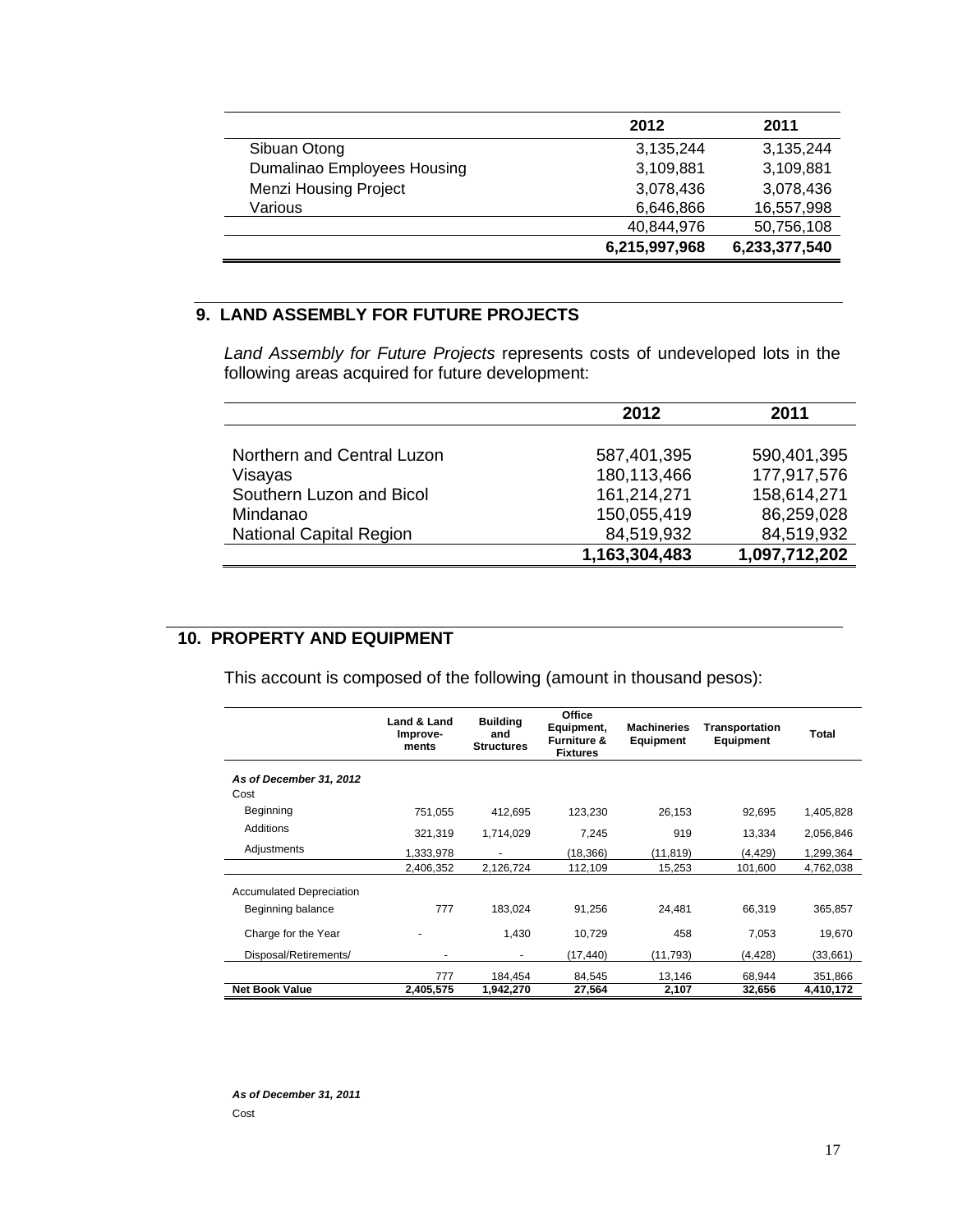|                              | 2012          | 2011          |
|------------------------------|---------------|---------------|
| Sibuan Otong                 | 3,135,244     | 3,135,244     |
| Dumalinao Employees Housing  | 3,109,881     | 3,109,881     |
| <b>Menzi Housing Project</b> | 3,078,436     | 3,078,436     |
| Various                      | 6,646,866     | 16,557,998    |
|                              | 40,844,976    | 50,756,108    |
|                              | 6,215,997,968 | 6,233,377,540 |

# **9. LAND ASSEMBLY FOR FUTURE PROJECTS**

*Land Assembly for Future Projects* represents costs of undeveloped lots in the following areas acquired for future development:

|                                | 2012          | 2011          |
|--------------------------------|---------------|---------------|
|                                |               |               |
| Northern and Central Luzon     | 587,401,395   | 590,401,395   |
| Visayas                        | 180,113,466   | 177,917,576   |
| Southern Luzon and Bicol       | 161,214,271   | 158,614,271   |
| Mindanao                       | 150,055,419   | 86,259,028    |
| <b>National Capital Region</b> | 84,519,932    | 84,519,932    |
|                                | 1,163,304,483 | 1,097,712,202 |

# **10. PROPERTY AND EQUIPMENT**

This account is composed of the following (amount in thousand pesos):

|                                                      | Land & Land<br>Improve-<br>ments | <b>Building</b><br>and<br><b>Structures</b> | <b>Office</b><br>Equipment,<br><b>Furniture &amp;</b><br><b>Fixtures</b> | <b>Machineries</b><br><b>Equipment</b> | Transportation<br>Equipment | Total     |
|------------------------------------------------------|----------------------------------|---------------------------------------------|--------------------------------------------------------------------------|----------------------------------------|-----------------------------|-----------|
| As of December 31, 2012<br>Cost                      |                                  |                                             |                                                                          |                                        |                             |           |
| Beginning                                            | 751,055                          | 412,695                                     | 123,230                                                                  | 26,153                                 | 92,695                      | 1,405,828 |
| Additions                                            | 321,319                          | 1,714,029                                   | 7,245                                                                    | 919                                    | 13,334                      | 2,056,846 |
| Adjustments                                          | 1,333,978                        |                                             | (18, 366)                                                                | (11, 819)                              | (4, 429)                    | 1,299,364 |
|                                                      | 2,406,352                        | 2,126,724                                   | 112,109                                                                  | 15,253                                 | 101,600                     | 4,762,038 |
| <b>Accumulated Depreciation</b><br>Beginning balance | 777                              | 183.024                                     | 91,256                                                                   | 24,481                                 | 66.319                      | 365.857   |
|                                                      |                                  |                                             |                                                                          |                                        |                             |           |
| Charge for the Year                                  |                                  | 1.430                                       | 10,729                                                                   | 458                                    | 7,053                       | 19,670    |
| Disposal/Retirements/                                |                                  | $\blacksquare$                              | (17, 440)                                                                | (11,793)                               | (4, 428)                    | (33,661)  |
|                                                      | 777                              | 184,454                                     | 84,545                                                                   | 13,146                                 | 68,944                      | 351,866   |
| <b>Net Book Value</b>                                | 2,405,575                        | 1,942,270                                   | 27,564                                                                   | 2,107                                  | 32,656                      | 4,410,172 |

*As of December 31, 2011* Cost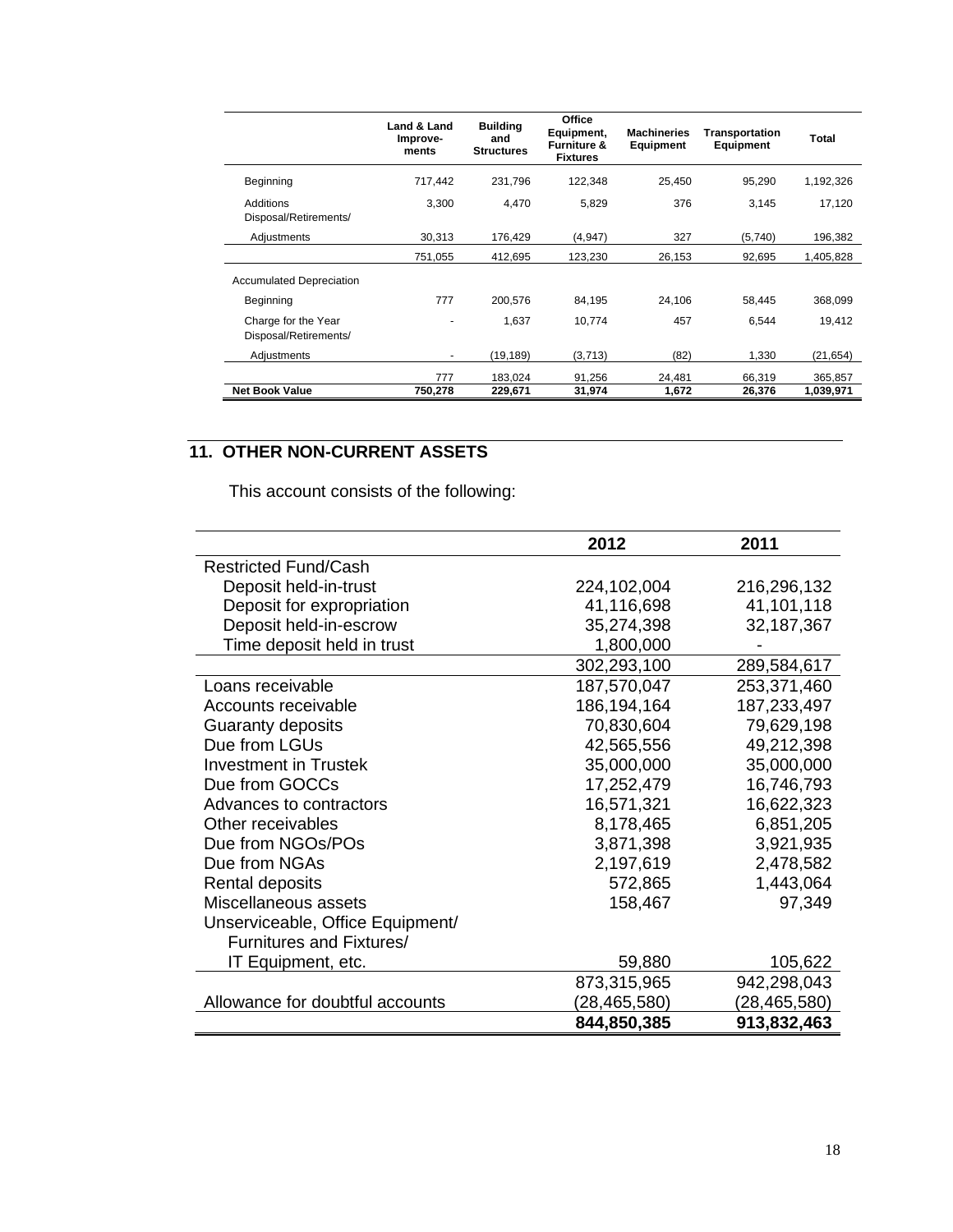|                                              | Land & Land<br>Improve-<br>ments | <b>Building</b><br>and<br><b>Structures</b> | <b>Office</b><br>Equipment,<br><b>Furniture &amp;</b><br><b>Fixtures</b> | <b>Machineries</b><br><b>Equipment</b> | <b>Transportation</b><br>Equipment | Total     |
|----------------------------------------------|----------------------------------|---------------------------------------------|--------------------------------------------------------------------------|----------------------------------------|------------------------------------|-----------|
| Beginning                                    | 717,442                          | 231,796                                     | 122,348                                                                  | 25,450                                 | 95,290                             | 1,192,326 |
| Additions<br>Disposal/Retirements/           | 3,300                            | 4.470                                       | 5,829                                                                    | 376                                    | 3,145                              | 17,120    |
| Adjustments                                  | 30,313                           | 176,429                                     | (4,947)                                                                  | 327                                    | (5,740)                            | 196,382   |
|                                              | 751,055                          | 412,695                                     | 123,230                                                                  | 26,153                                 | 92,695                             | 1,405,828 |
| <b>Accumulated Depreciation</b>              |                                  |                                             |                                                                          |                                        |                                    |           |
| Beginning                                    | 777                              | 200.576                                     | 84,195                                                                   | 24,106                                 | 58,445                             | 368,099   |
| Charge for the Year<br>Disposal/Retirements/ |                                  | 1,637                                       | 10,774                                                                   | 457                                    | 6,544                              | 19.412    |
| Adjustments                                  | ٠                                | (19, 189)                                   | (3,713)                                                                  | (82)                                   | 1,330                              | (21,654)  |
|                                              | 777                              | 183,024                                     | 91,256                                                                   | 24,481                                 | 66,319                             | 365,857   |
| <b>Net Book Value</b>                        | 750,278                          | 229,671                                     | 31,974                                                                   | 1,672                                  | 26,376                             | 1,039,971 |

#### **11. OTHER NON-CURRENT ASSETS**

This account consists of the following:

|                                  | 2012         | 2011         |
|----------------------------------|--------------|--------------|
| <b>Restricted Fund/Cash</b>      |              |              |
| Deposit held-in-trust            | 224,102,004  | 216,296,132  |
| Deposit for expropriation        | 41,116,698   | 41,101,118   |
| Deposit held-in-escrow           | 35,274,398   | 32,187,367   |
| Time deposit held in trust       | 1,800,000    |              |
|                                  | 302,293,100  | 289,584,617  |
| Loans receivable                 | 187,570,047  | 253,371,460  |
| Accounts receivable              | 186,194,164  | 187,233,497  |
| Guaranty deposits                | 70,830,604   | 79,629,198   |
| Due from LGUs                    | 42,565,556   | 49,212,398   |
| Investment in Trustek            | 35,000,000   | 35,000,000   |
| Due from GOCCs                   | 17,252,479   | 16,746,793   |
| Advances to contractors          | 16,571,321   | 16,622,323   |
| Other receivables                | 8,178,465    | 6,851,205    |
| Due from NGOs/POs                | 3,871,398    | 3,921,935    |
| Due from NGAs                    | 2,197,619    | 2,478,582    |
| Rental deposits                  | 572,865      | 1,443,064    |
| Miscellaneous assets             | 158,467      | 97,349       |
| Unserviceable, Office Equipment/ |              |              |
| Furnitures and Fixtures/         |              |              |
| IT Equipment, etc.               | 59,880       | 105,622      |
|                                  | 873,315,965  | 942,298,043  |
| Allowance for doubtful accounts  | (28,465,580) | (28,465,580) |
|                                  | 844,850,385  | 913,832,463  |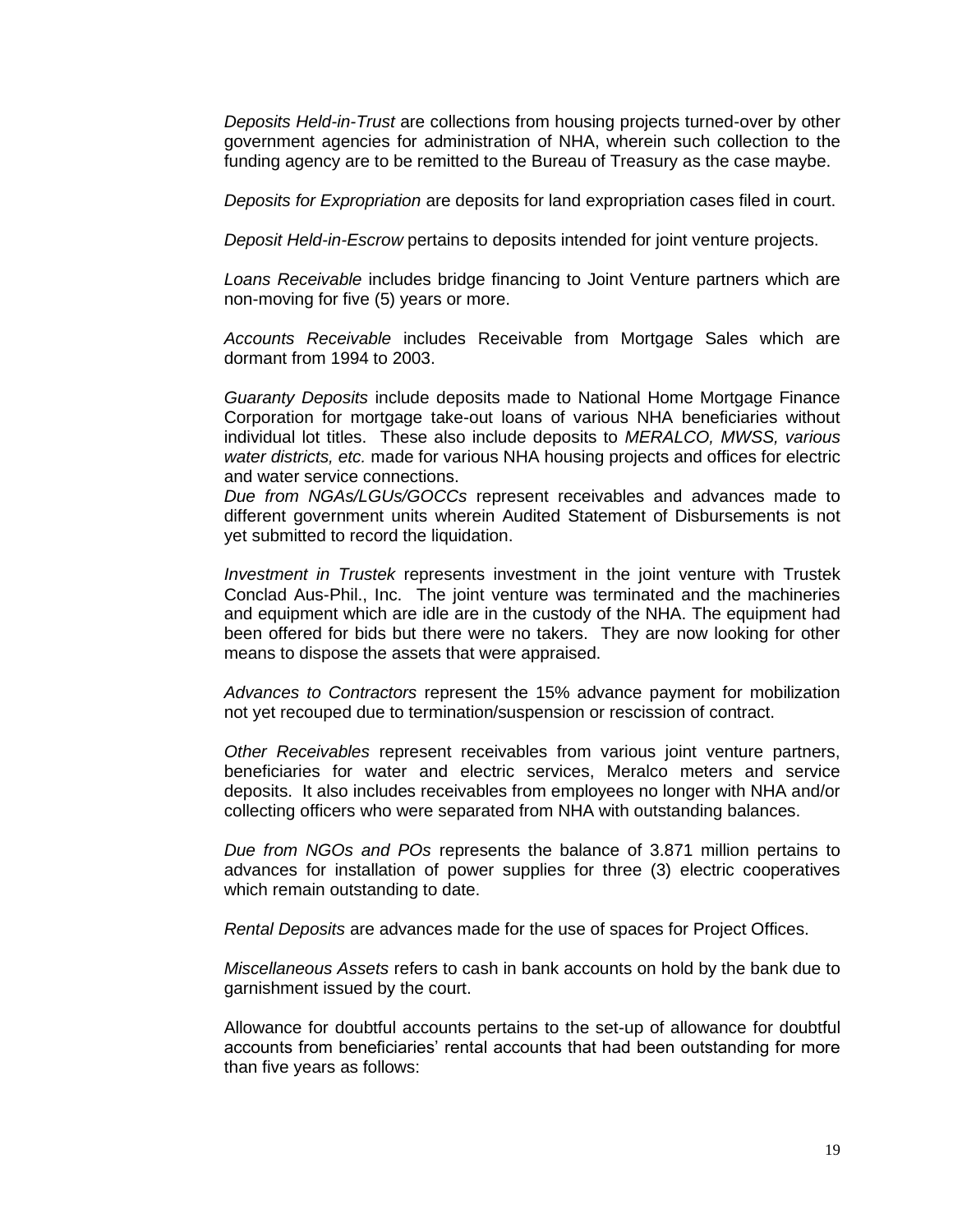*Deposits Held-in-Trust* are collections from housing projects turned-over by other government agencies for administration of NHA, wherein such collection to the funding agency are to be remitted to the Bureau of Treasury as the case maybe.

*Deposits for Expropriation* are deposits for land expropriation cases filed in court.

*Deposit Held-in-Escrow* pertains to deposits intended for joint venture projects.

*Loans Receivable* includes bridge financing to Joint Venture partners which are non-moving for five (5) years or more.

*Accounts Receivable* includes Receivable from Mortgage Sales which are dormant from 1994 to 2003.

*Guaranty Deposits* include deposits made to National Home Mortgage Finance Corporation for mortgage take-out loans of various NHA beneficiaries without individual lot titles. These also include deposits to *MERALCO, MWSS, various water districts, etc.* made for various NHA housing projects and offices for electric and water service connections.

*Due from NGAs/LGUs/GOCCs* represent receivables and advances made to different government units wherein Audited Statement of Disbursements is not yet submitted to record the liquidation.

*Investment in Trustek* represents investment in the joint venture with Trustek Conclad Aus-Phil., Inc. The joint venture was terminated and the machineries and equipment which are idle are in the custody of the NHA. The equipment had been offered for bids but there were no takers. They are now looking for other means to dispose the assets that were appraised.

*Advances to Contractors* represent the 15% advance payment for mobilization not yet recouped due to termination/suspension or rescission of contract.

*Other Receivables* represent receivables from various joint venture partners, beneficiaries for water and electric services, Meralco meters and service deposits. It also includes receivables from employees no longer with NHA and/or collecting officers who were separated from NHA with outstanding balances.

*Due from NGOs and POs* represents the balance of 3.871 million pertains to advances for installation of power supplies for three (3) electric cooperatives which remain outstanding to date.

*Rental Deposits* are advances made for the use of spaces for Project Offices.

*Miscellaneous Assets* refers to cash in bank accounts on hold by the bank due to garnishment issued by the court.

Allowance for doubtful accounts pertains to the set-up of allowance for doubtful accounts from beneficiaries' rental accounts that had been outstanding for more than five years as follows: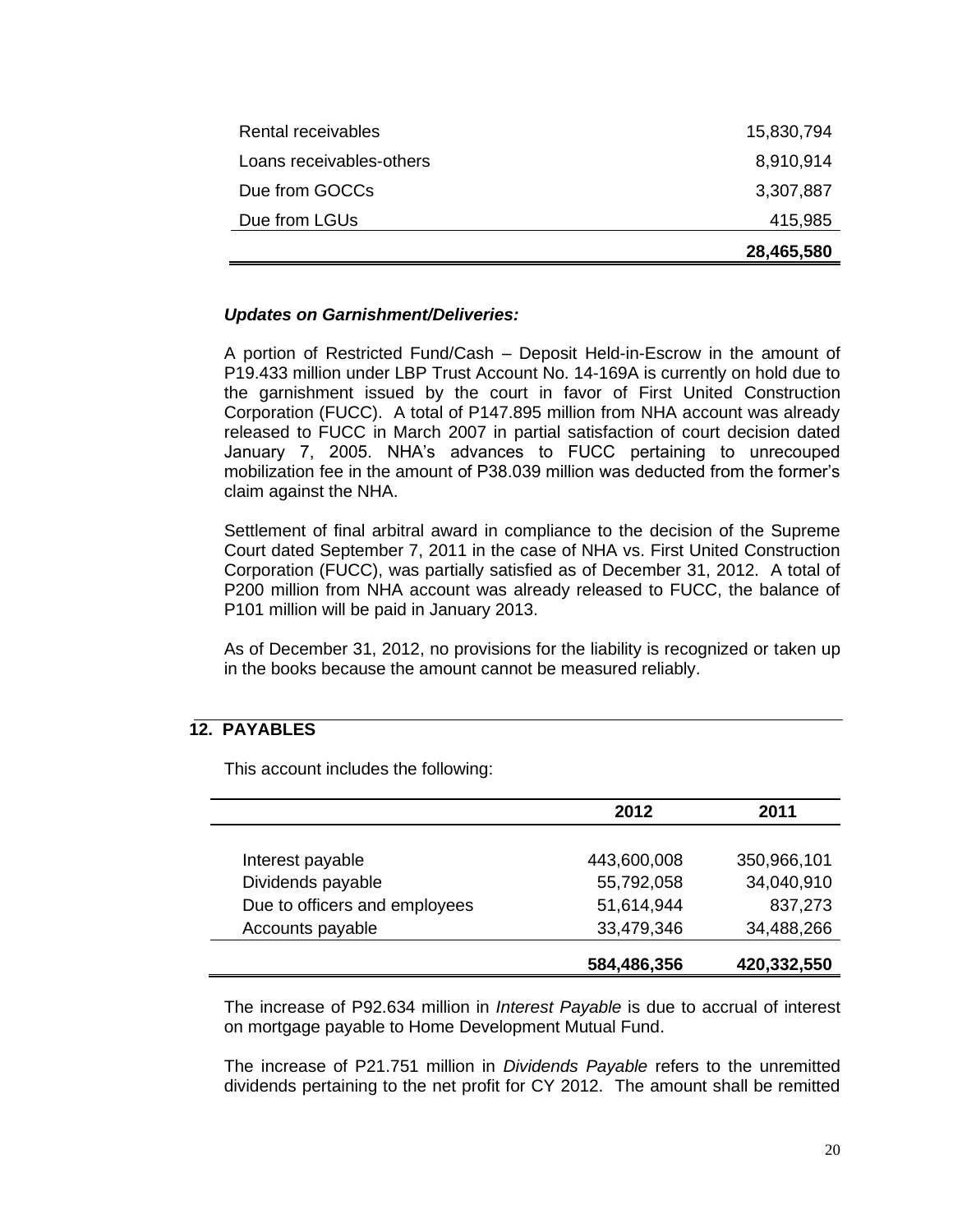|                          | 28,465,580 |
|--------------------------|------------|
| Due from LGUs            | 415,985    |
| Due from GOCCs           | 3,307,887  |
| Loans receivables-others | 8,910,914  |
| Rental receivables       | 15,830,794 |

### *Updates on Garnishment/Deliveries:*

A portion of Restricted Fund/Cash – Deposit Held-in-Escrow in the amount of P19.433 million under LBP Trust Account No. 14-169A is currently on hold due to the garnishment issued by the court in favor of First United Construction Corporation (FUCC). A total of P147.895 million from NHA account was already released to FUCC in March 2007 in partial satisfaction of court decision dated January 7, 2005. NHA's advances to FUCC pertaining to unrecouped mobilization fee in the amount of P38.039 million was deducted from the former's claim against the NHA.

Settlement of final arbitral award in compliance to the decision of the Supreme Court dated September 7, 2011 in the case of NHA vs. First United Construction Corporation (FUCC), was partially satisfied as of December 31, 2012. A total of P200 million from NHA account was already released to FUCC, the balance of P101 million will be paid in January 2013.

As of December 31, 2012, no provisions for the liability is recognized or taken up in the books because the amount cannot be measured reliably.

# **12. PAYABLES**

 **2012 2011** Interest payable 443,600,008 350,966,101 Dividends payable 55,792,058 34,040,910

This account includes the following:

The increase of P92.634 million in *Interest Payable* is due to accrual of interest on mortgage payable to Home Development Mutual Fund.

Due to officers and employees 51,614,944 837,273 Accounts payable 33,479,346 34,488,266

The increase of P21.751 million in *Dividends Payable* refers to the unremitted dividends pertaining to the net profit for CY 2012. The amount shall be remitted

**584,486,356 420,332,550**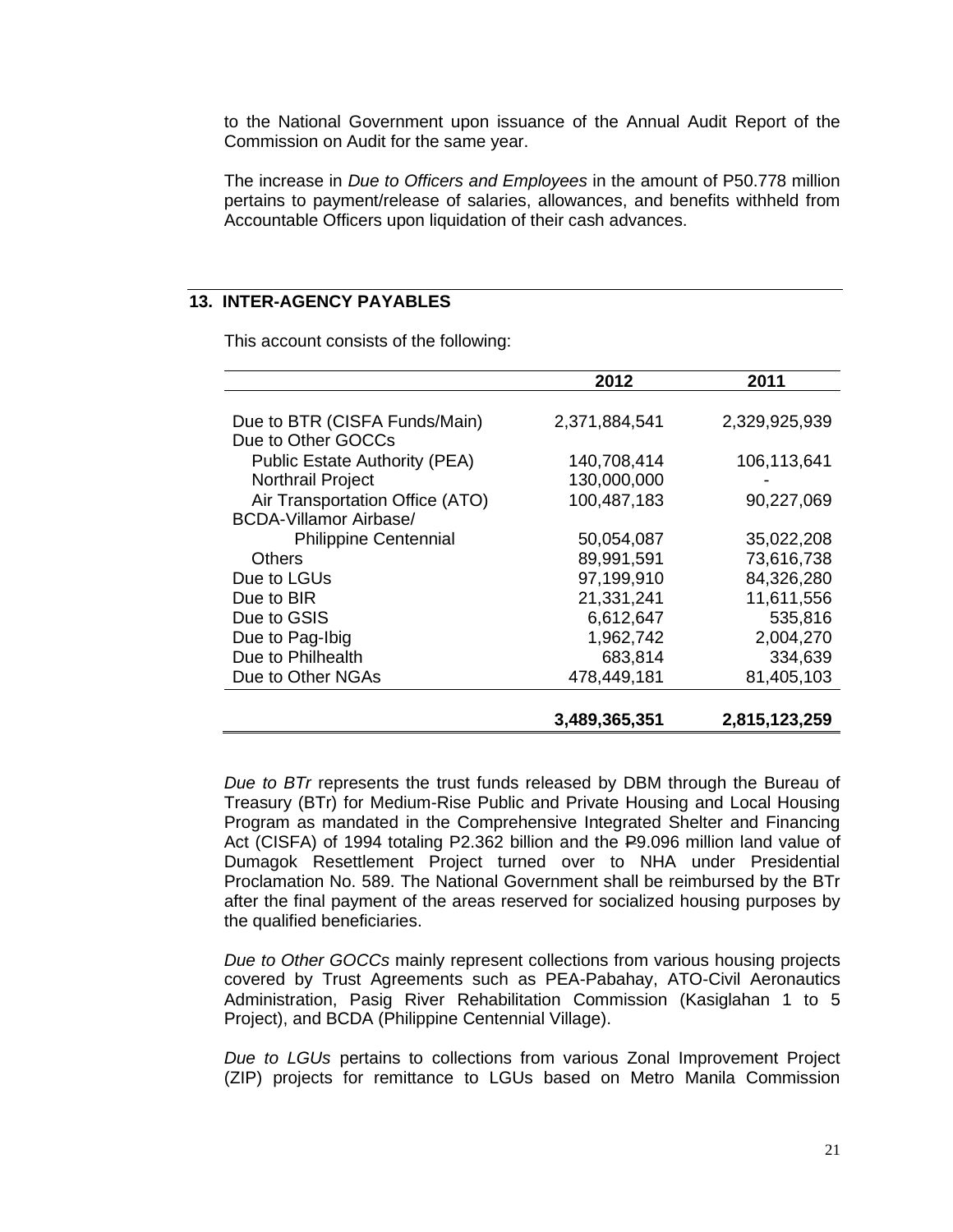to the National Government upon issuance of the Annual Audit Report of the Commission on Audit for the same year.

The increase in *Due to Officers and Employees* in the amount of P50.778 million pertains to payment/release of salaries, allowances, and benefits withheld from Accountable Officers upon liquidation of their cash advances.

# **13. INTER-AGENCY PAYABLES**

This account consists of the following:

|                                      | 2012          | 2011          |
|--------------------------------------|---------------|---------------|
|                                      |               |               |
| Due to BTR (CISFA Funds/Main)        | 2,371,884,541 | 2,329,925,939 |
| Due to Other GOCCs                   |               |               |
| <b>Public Estate Authority (PEA)</b> | 140,708,414   | 106,113,641   |
| Northrail Project                    | 130,000,000   |               |
| Air Transportation Office (ATO)      | 100,487,183   | 90,227,069    |
| <b>BCDA-Villamor Airbase/</b>        |               |               |
| <b>Philippine Centennial</b>         | 50,054,087    | 35,022,208    |
| <b>Others</b>                        | 89,991,591    | 73,616,738    |
| Due to LGUs                          | 97,199,910    | 84,326,280    |
| Due to BIR                           | 21,331,241    | 11,611,556    |
| Due to GSIS                          | 6,612,647     | 535,816       |
| Due to Pag-Ibig                      | 1,962,742     | 2,004,270     |
| Due to Philhealth                    | 683,814       | 334,639       |
| Due to Other NGAs                    | 478,449,181   | 81,405,103    |
|                                      |               |               |
|                                      | 3,489,365,351 | 2,815,123,259 |

*Due to BTr* represents the trust funds released by DBM through the Bureau of Treasury (BTr) for Medium-Rise Public and Private Housing and Local Housing Program as mandated in the Comprehensive Integrated Shelter and Financing Act (CISFA) of 1994 totaling P2.362 billion and the P9.096 million land value of Dumagok Resettlement Project turned over to NHA under Presidential Proclamation No. 589. The National Government shall be reimbursed by the BTr after the final payment of the areas reserved for socialized housing purposes by the qualified beneficiaries.

*Due to Other GOCCs* mainly represent collections from various housing projects covered by Trust Agreements such as PEA-Pabahay, ATO-Civil Aeronautics Administration, Pasig River Rehabilitation Commission (Kasiglahan 1 to 5 Project), and BCDA (Philippine Centennial Village).

*Due to LGUs* pertains to collections from various Zonal Improvement Project (ZIP) projects for remittance to LGUs based on Metro Manila Commission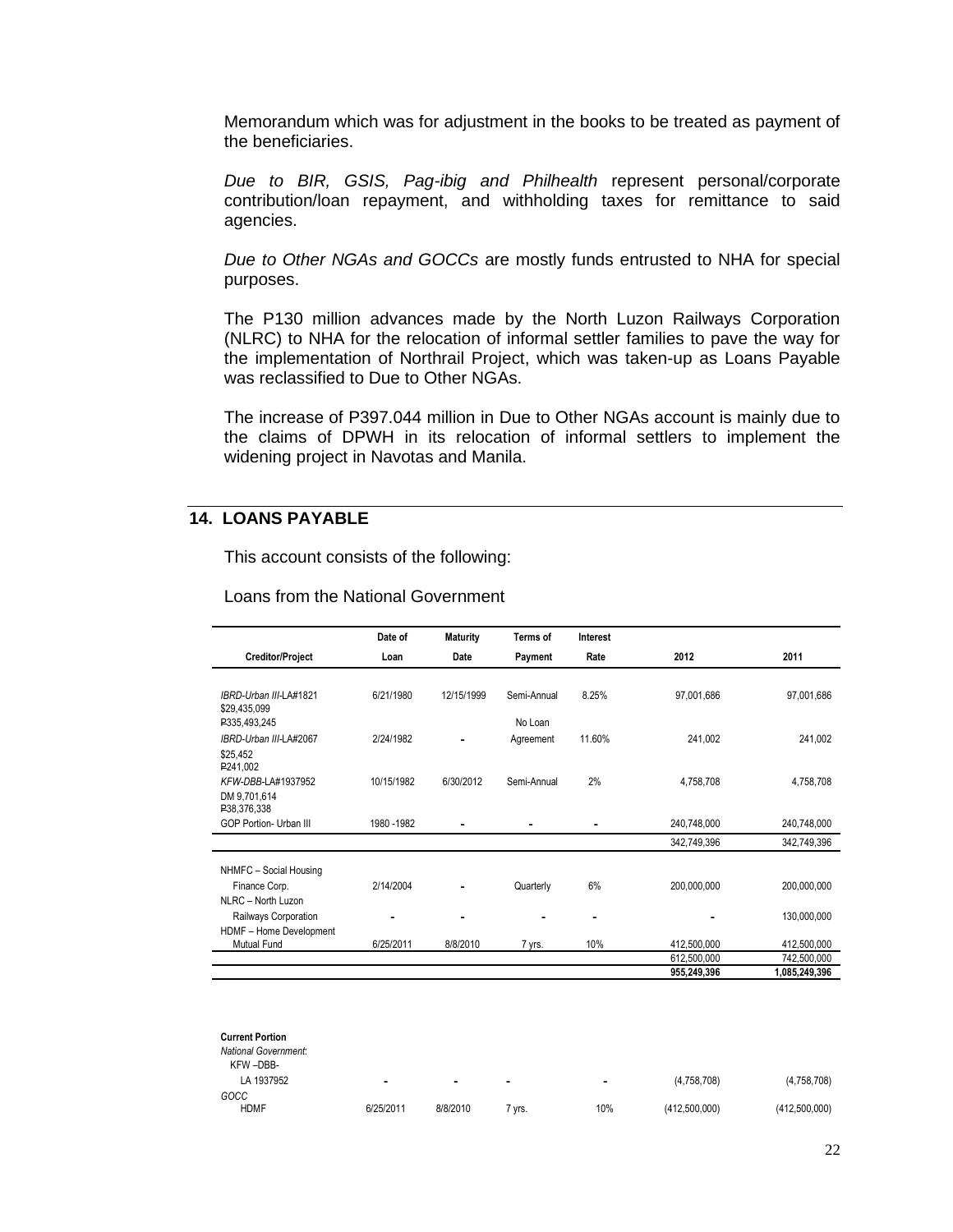Memorandum which was for adjustment in the books to be treated as payment of the beneficiaries.

*Due to BIR, GSIS, Pag-ibig and Philhealth* represent personal/corporate contribution/loan repayment, and withholding taxes for remittance to said agencies.

*Due to Other NGAs and GOCCs* are mostly funds entrusted to NHA for special purposes.

The P130 million advances made by the North Luzon Railways Corporation (NLRC) to NHA for the relocation of informal settler families to pave the way for the implementation of Northrail Project, which was taken-up as Loans Payable was reclassified to Due to Other NGAs.

The increase of P397.044 million in Due to Other NGAs account is mainly due to the claims of DPWH in its relocation of informal settlers to implement the widening project in Navotas and Manila.

# **14. LOANS PAYABLE**

This account consists of the following:

|  | Loans from the National Government |
|--|------------------------------------|
|  |                                    |

|                             | Date of     | <b>Maturity</b> | Terms of    | Interest |             |               |
|-----------------------------|-------------|-----------------|-------------|----------|-------------|---------------|
| <b>Creditor/Project</b>     | Loan        | Date            | Payment     | Rate     | 2012        | 2011          |
| IBRD-Urban III-LA#1821      | 6/21/1980   | 12/15/1999      | Semi-Annual | 8.25%    |             |               |
| \$29,435,099                |             |                 |             |          | 97.001.686  | 97.001.686    |
| P335,493,245                |             |                 | No Loan     |          |             |               |
| IBRD-Urban III-LA#2067      | 2/24/1982   |                 | Agreement   | 11.60%   | 241.002     | 241.002       |
| \$25.452<br>P241,002        |             |                 |             |          |             |               |
| KFW-DBB-LA#1937952          | 10/15/1982  | 6/30/2012       | Semi-Annual | 2%       | 4,758,708   | 4,758,708     |
| DM 9.701.614<br>P38,376,338 |             |                 |             |          |             |               |
| GOP Portion- Urban III      | 1980 - 1982 |                 |             |          | 240.748.000 | 240.748.000   |
|                             |             |                 |             |          | 342,749,396 | 342,749,396   |
| NHMFC - Social Housing      |             |                 |             |          |             |               |
| Finance Corp.               | 2/14/2004   |                 | Quarterly   | 6%       | 200,000,000 | 200,000,000   |
| NLRC - North Luzon          |             |                 |             |          |             |               |
| Railways Corporation        | -           |                 |             | -        |             | 130,000,000   |
| HDMF - Home Development     |             |                 |             |          |             |               |
| <b>Mutual Fund</b>          | 6/25/2011   | 8/8/2010        | 7 yrs.      | 10%      | 412.500.000 | 412,500,000   |
|                             |             |                 |             |          | 612,500,000 | 742,500,000   |
|                             |             |                 |             |          | 955,249,396 | 1,085,249,396 |

| <b>Current Portion</b>      |           |          |                          |                          |               |               |
|-----------------------------|-----------|----------|--------------------------|--------------------------|---------------|---------------|
| <b>National Government:</b> |           |          |                          |                          |               |               |
| KFW-DBB-                    |           |          |                          |                          |               |               |
| LA 1937952                  | -         | ٠        | $\overline{\phantom{0}}$ | $\overline{\phantom{0}}$ | (4,758,708)   | (4,758,708)   |
| GOCC                        |           |          |                          |                          |               |               |
| <b>HDMF</b>                 | 6/25/2011 | 8/8/2010 | vrs.                     | 10%                      | (412,500,000) | (412,500,000) |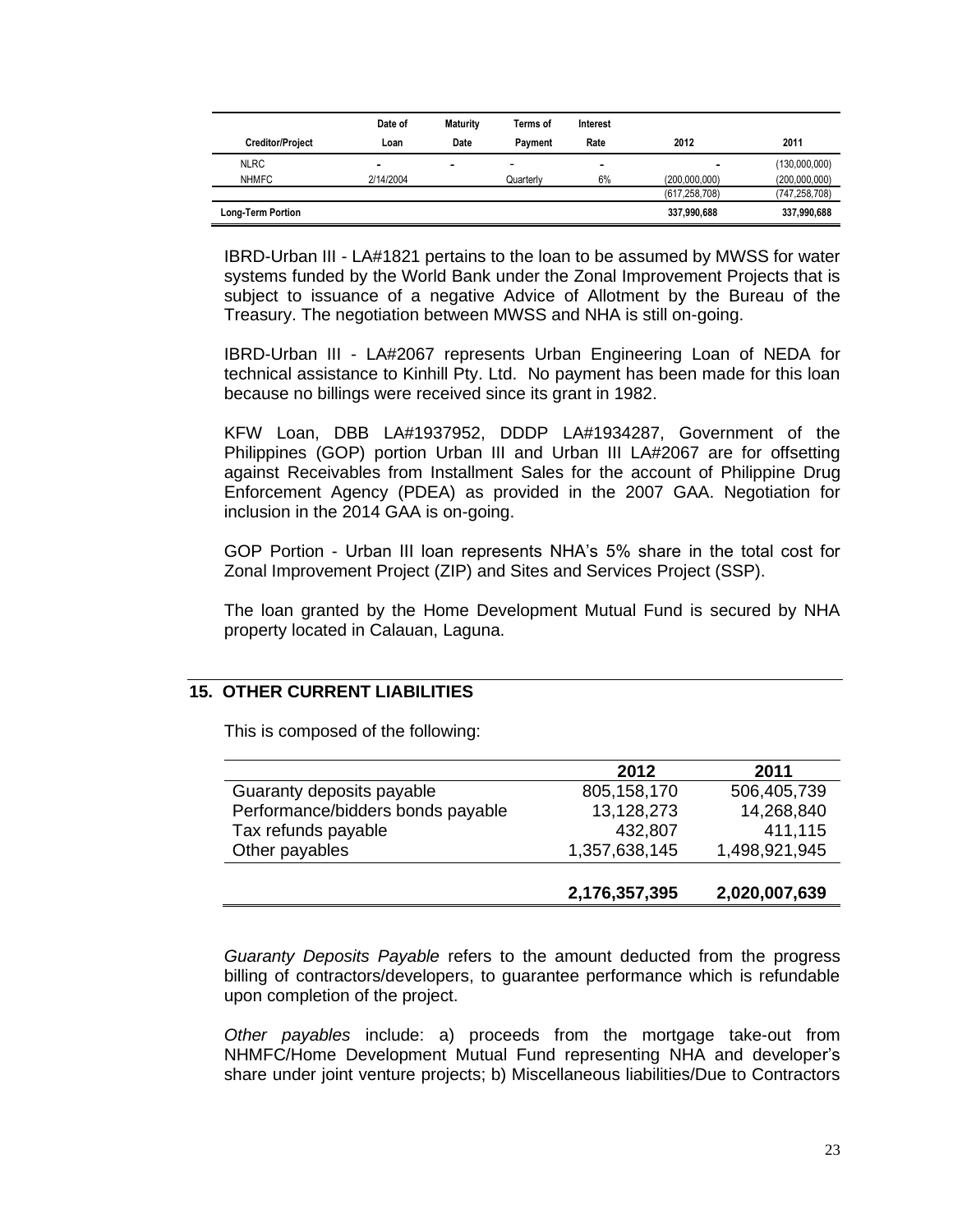|                         | Date of   | <b>Maturity</b> | Terms of  | Interest                     |                 |                 |
|-------------------------|-----------|-----------------|-----------|------------------------------|-----------------|-----------------|
| <b>Creditor/Project</b> | Loan      | Date            | Pavment   | Rate                         | 2012            | 2011            |
| <b>NLRC</b>             | -         | -               | -         | $\qquad \qquad \blacksquare$ | -               | (130,000,000)   |
| <b>NHMFC</b>            | 2/14/2004 |                 | Quarterly | 6%                           | (200,000,000)   | (200,000,000)   |
|                         |           |                 |           |                              | (617, 258, 708) | (747, 258, 708) |
| Long-Term Portion       |           |                 |           |                              | 337,990,688     | 337,990,688     |

IBRD-Urban III - LA#1821 pertains to the loan to be assumed by MWSS for water systems funded by the World Bank under the Zonal Improvement Projects that is subject to issuance of a negative Advice of Allotment by the Bureau of the Treasury. The negotiation between MWSS and NHA is still on-going.

IBRD-Urban III - LA#2067 represents Urban Engineering Loan of NEDA for technical assistance to Kinhill Pty. Ltd. No payment has been made for this loan because no billings were received since its grant in 1982.

KFW Loan, DBB LA#1937952, DDDP LA#1934287, Government of the Philippines (GOP) portion Urban III and Urban III LA#2067 are for offsetting against Receivables from Installment Sales for the account of Philippine Drug Enforcement Agency (PDEA) as provided in the 2007 GAA. Negotiation for inclusion in the 2014 GAA is on-going.

GOP Portion - Urban III loan represents NHA's 5% share in the total cost for Zonal Improvement Project (ZIP) and Sites and Services Project (SSP).

The loan granted by the Home Development Mutual Fund is secured by NHA property located in Calauan, Laguna.

### **15. OTHER CURRENT LIABILITIES**

This is composed of the following:

|                                   | 2012          | 2011          |
|-----------------------------------|---------------|---------------|
| Guaranty deposits payable         | 805, 158, 170 | 506,405,739   |
| Performance/bidders bonds payable | 13,128,273    | 14,268,840    |
| Tax refunds payable               | 432,807       | 411,115       |
| Other payables                    | 1,357,638,145 | 1,498,921,945 |
|                                   |               |               |
|                                   | 2,176,357,395 | 2,020,007,639 |

*Guaranty Deposits Payable* refers to the amount deducted from the progress billing of contractors/developers, to guarantee performance which is refundable upon completion of the project.

*Other payables* include: a) proceeds from the mortgage take-out from NHMFC/Home Development Mutual Fund representing NHA and developer's share under joint venture projects; b) Miscellaneous liabilities/Due to Contractors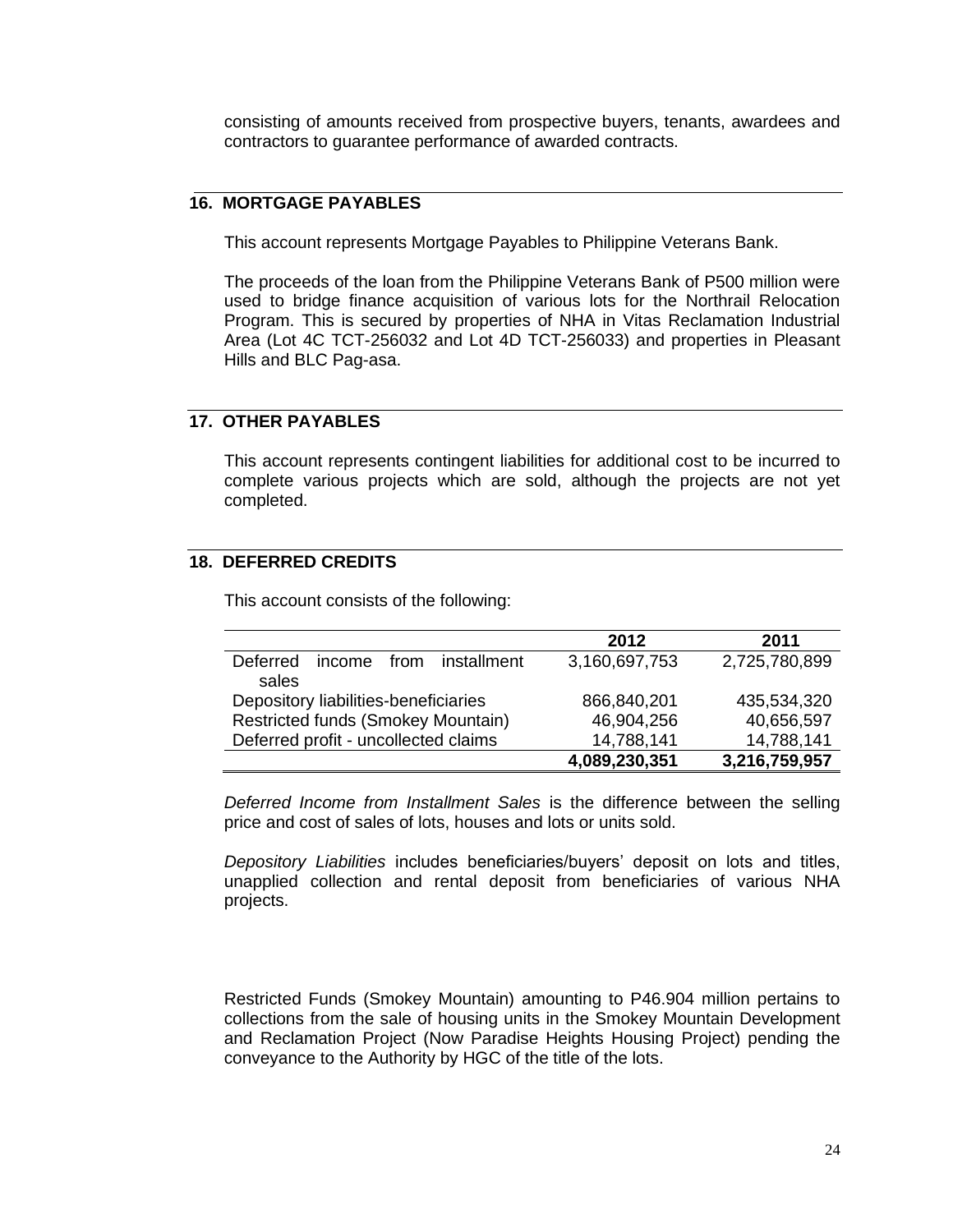consisting of amounts received from prospective buyers, tenants, awardees and contractors to guarantee performance of awarded contracts.

# **16. MORTGAGE PAYABLES**

This account represents Mortgage Payables to Philippine Veterans Bank.

The proceeds of the loan from the Philippine Veterans Bank of P500 million were used to bridge finance acquisition of various lots for the Northrail Relocation Program. This is secured by properties of NHA in Vitas Reclamation Industrial Area (Lot 4C TCT-256032 and Lot 4D TCT-256033) and properties in Pleasant Hills and BLC Pag-asa.

# **17. OTHER PAYABLES**

This account represents contingent liabilities for additional cost to be incurred to complete various projects which are sold, although the projects are not yet completed.

### **18. DEFERRED CREDITS**

This account consists of the following:

|                                                 | 2012          | 2011          |
|-------------------------------------------------|---------------|---------------|
| installment<br>income from<br>Deferred<br>sales | 3,160,697,753 | 2,725,780,899 |
| Depository liabilities-beneficiaries            | 866,840,201   | 435,534,320   |
| <b>Restricted funds (Smokey Mountain)</b>       | 46,904,256    | 40,656,597    |
| Deferred profit - uncollected claims            | 14,788,141    | 14,788,141    |
|                                                 | 4,089,230,351 | 3,216,759,957 |

*Deferred Income from Installment Sales* is the difference between the selling price and cost of sales of lots, houses and lots or units sold.

*Depository Liabilities* includes beneficiaries/buyers' deposit on lots and titles, unapplied collection and rental deposit from beneficiaries of various NHA projects.

Restricted Funds (Smokey Mountain) amounting to P46.904 million pertains to collections from the sale of housing units in the Smokey Mountain Development and Reclamation Project (Now Paradise Heights Housing Project) pending the conveyance to the Authority by HGC of the title of the lots.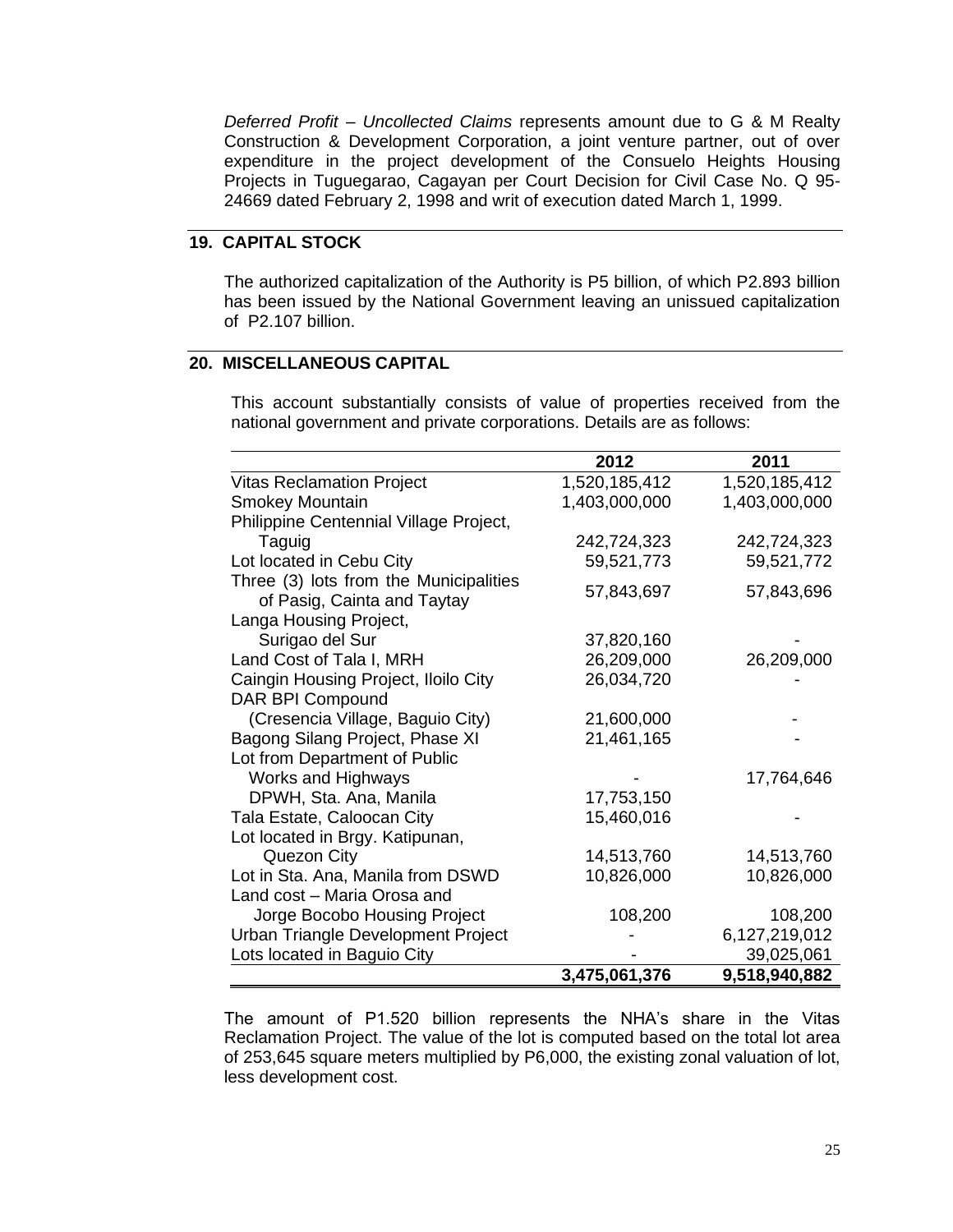*Deferred Profit – Uncollected Claims* represents amount due to G & M Realty Construction & Development Corporation, a joint venture partner, out of over expenditure in the project development of the Consuelo Heights Housing Projects in Tuguegarao, Cagayan per Court Decision for Civil Case No. Q 95- 24669 dated February 2, 1998 and writ of execution dated March 1, 1999.

# **19. CAPITAL STOCK**

The authorized capitalization of the Authority is P5 billion, of which P2.893 billion has been issued by the National Government leaving an unissued capitalization of P2.107 billion.

# **20. MISCELLANEOUS CAPITAL**

This account substantially consists of value of properties received from the national government and private corporations. Details are as follows:

|                                                                       | 2012          | 2011          |
|-----------------------------------------------------------------------|---------------|---------------|
| <b>Vitas Reclamation Project</b>                                      | 1,520,185,412 | 1,520,185,412 |
| <b>Smokey Mountain</b>                                                | 1,403,000,000 | 1,403,000,000 |
| Philippine Centennial Village Project,                                |               |               |
| Taguig                                                                | 242,724,323   | 242,724,323   |
| Lot located in Cebu City                                              | 59,521,773    | 59,521,772    |
| Three (3) lots from the Municipalities<br>of Pasig, Cainta and Taytay | 57,843,697    | 57,843,696    |
| Langa Housing Project,                                                |               |               |
| Surigao del Sur                                                       | 37,820,160    |               |
| Land Cost of Tala I, MRH                                              | 26,209,000    | 26,209,000    |
| Caingin Housing Project, Iloilo City                                  | 26,034,720    |               |
| <b>DAR BPI Compound</b>                                               |               |               |
| (Cresencia Village, Baguio City)                                      | 21,600,000    |               |
| Bagong Silang Project, Phase XI                                       | 21,461,165    |               |
| Lot from Department of Public                                         |               |               |
| Works and Highways                                                    |               | 17,764,646    |
| DPWH, Sta. Ana, Manila                                                | 17,753,150    |               |
| Tala Estate, Caloocan City                                            | 15,460,016    |               |
| Lot located in Brgy. Katipunan,                                       |               |               |
| Quezon City                                                           | 14,513,760    | 14,513,760    |
| Lot in Sta. Ana, Manila from DSWD                                     | 10,826,000    | 10,826,000    |
| Land cost - Maria Orosa and                                           |               |               |
| Jorge Bocobo Housing Project                                          | 108,200       | 108,200       |
| Urban Triangle Development Project                                    |               | 6,127,219,012 |
| Lots located in Baguio City                                           |               | 39,025,061    |
|                                                                       | 3,475,061,376 | 9,518,940,882 |

The amount of P1.520 billion represents the NHA's share in the Vitas Reclamation Project. The value of the lot is computed based on the total lot area of 253,645 square meters multiplied by P6,000, the existing zonal valuation of lot, less development cost.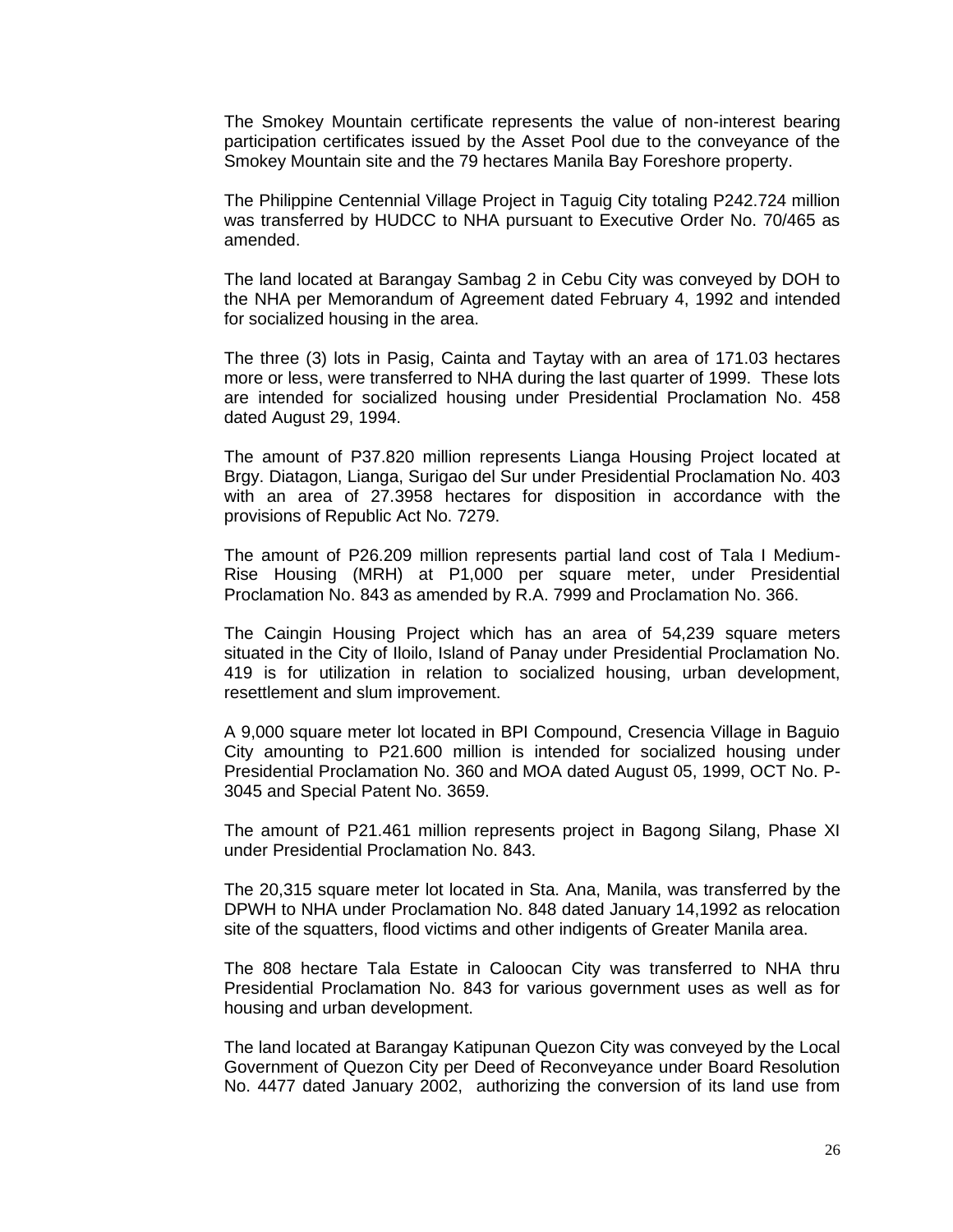The Smokey Mountain certificate represents the value of non-interest bearing participation certificates issued by the Asset Pool due to the conveyance of the Smokey Mountain site and the 79 hectares Manila Bay Foreshore property.

The Philippine Centennial Village Project in Taguig City totaling P242.724 million was transferred by HUDCC to NHA pursuant to Executive Order No. 70/465 as amended.

The land located at Barangay Sambag 2 in Cebu City was conveyed by DOH to the NHA per Memorandum of Agreement dated February 4, 1992 and intended for socialized housing in the area.

The three (3) lots in Pasig, Cainta and Taytay with an area of 171.03 hectares more or less, were transferred to NHA during the last quarter of 1999. These lots are intended for socialized housing under Presidential Proclamation No. 458 dated August 29, 1994.

The amount of P37.820 million represents Lianga Housing Project located at Brgy. Diatagon, Lianga, Surigao del Sur under Presidential Proclamation No. 403 with an area of 27.3958 hectares for disposition in accordance with the provisions of Republic Act No. 7279.

The amount of P26.209 million represents partial land cost of Tala I Medium-Rise Housing (MRH) at P1,000 per square meter, under Presidential Proclamation No. 843 as amended by R.A. 7999 and Proclamation No. 366.

The Caingin Housing Project which has an area of 54,239 square meters situated in the City of Iloilo, Island of Panay under Presidential Proclamation No. 419 is for utilization in relation to socialized housing, urban development, resettlement and slum improvement.

A 9,000 square meter lot located in BPI Compound, Cresencia Village in Baguio City amounting to P21.600 million is intended for socialized housing under Presidential Proclamation No. 360 and MOA dated August 05, 1999, OCT No. P-3045 and Special Patent No. 3659.

The amount of P21.461 million represents project in Bagong Silang, Phase XI under Presidential Proclamation No. 843.

The 20,315 square meter lot located in Sta. Ana, Manila, was transferred by the DPWH to NHA under Proclamation No. 848 dated January 14,1992 as relocation site of the squatters, flood victims and other indigents of Greater Manila area.

The 808 hectare Tala Estate in Caloocan City was transferred to NHA thru Presidential Proclamation No. 843 for various government uses as well as for housing and urban development.

The land located at Barangay Katipunan Quezon City was conveyed by the Local Government of Quezon City per Deed of Reconveyance under Board Resolution No. 4477 dated January 2002, authorizing the conversion of its land use from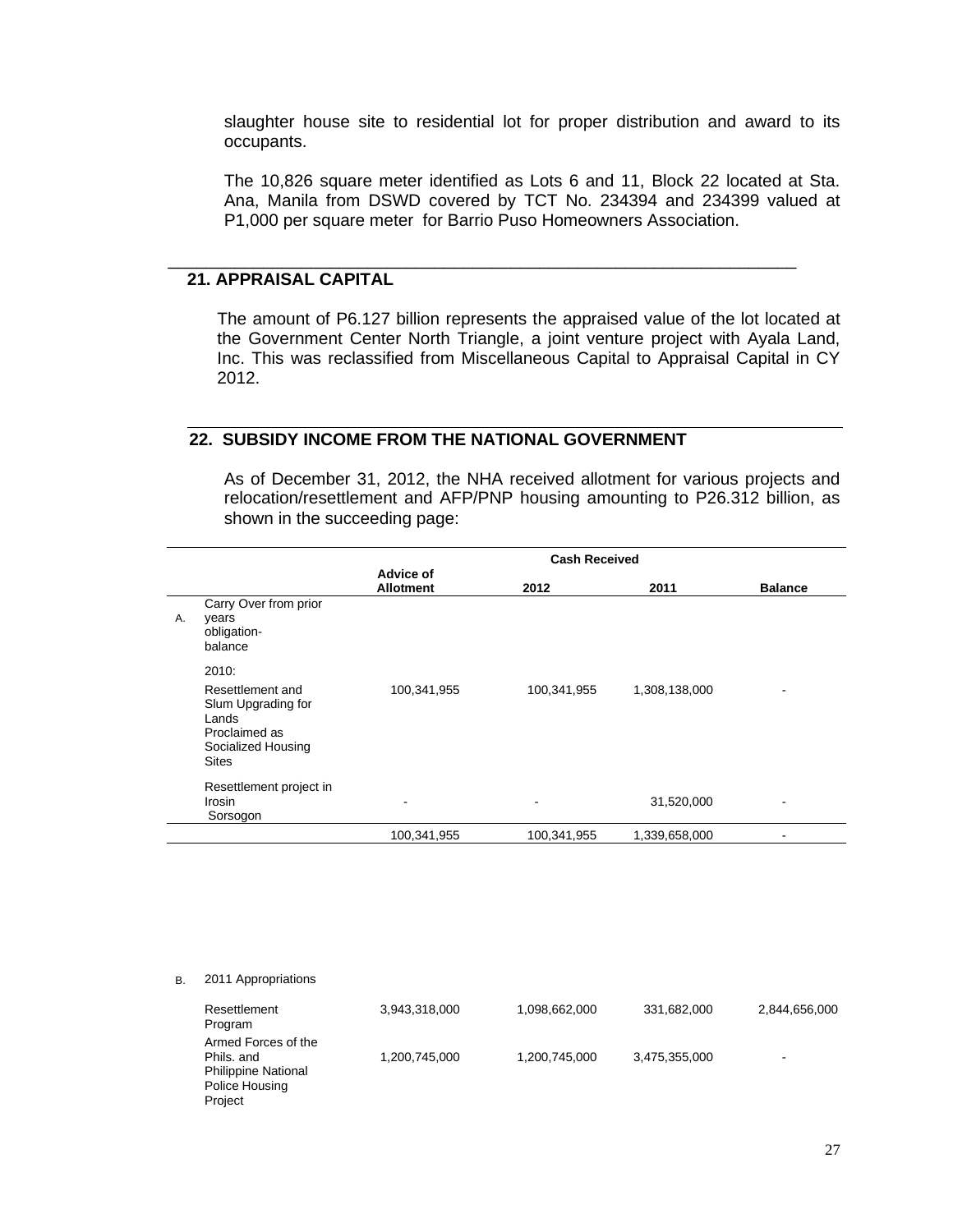slaughter house site to residential lot for proper distribution and award to its occupants.

The 10,826 square meter identified as Lots 6 and 11, Block 22 located at Sta. Ana, Manila from DSWD covered by TCT No. 234394 and 234399 valued at P1,000 per square meter for Barrio Puso Homeowners Association.

\_\_\_\_\_\_\_\_\_\_\_\_\_\_\_\_\_\_\_\_\_\_\_\_\_\_\_\_\_\_\_\_\_\_\_\_\_\_\_\_\_\_\_\_\_\_\_\_\_\_\_\_\_\_\_\_\_\_\_\_\_\_\_\_\_\_

### **21. APPRAISAL CAPITAL**

The amount of P6.127 billion represents the appraised value of the lot located at the Government Center North Triangle, a joint venture project with Ayala Land, Inc. This was reclassified from Miscellaneous Capital to Appraisal Capital in CY 2012.

# **22. SUBSIDY INCOME FROM THE NATIONAL GOVERNMENT**

As of December 31, 2012, the NHA received allotment for various projects and relocation/resettlement and AFP/PNP housing amounting to P26.312 billion, as shown in the succeeding page:

|    |                                                                                                        | <b>Cash Received</b>          |                          |               |                |  |
|----|--------------------------------------------------------------------------------------------------------|-------------------------------|--------------------------|---------------|----------------|--|
|    |                                                                                                        | Advice of<br><b>Allotment</b> | 2012                     | 2011          | <b>Balance</b> |  |
| Α. | Carry Over from prior<br>years<br>obligation-<br>balance                                               |                               |                          |               |                |  |
|    | 2010:                                                                                                  |                               |                          |               |                |  |
|    | Resettlement and<br>Slum Upgrading for<br>Lands<br>Proclaimed as<br>Socialized Housing<br><b>Sites</b> | 100,341,955                   | 100,341,955              | 1,308,138,000 |                |  |
|    | Resettlement project in<br>Irosin<br>Sorsogon                                                          | ۰                             | $\overline{\phantom{a}}$ | 31,520,000    |                |  |
|    |                                                                                                        | 100,341,955                   | 100,341,955              | 1,339,658,000 |                |  |

B. 2011 Appropriations

| Resettlement<br>Program                                                                      | 3,943,318,000 | 1,098,662,000 | 331,682,000   | 2,844,656,000            |
|----------------------------------------------------------------------------------------------|---------------|---------------|---------------|--------------------------|
| Armed Forces of the<br>Phils, and<br><b>Philippine National</b><br>Police Housing<br>Project | 1,200,745,000 | 1,200,745,000 | 3,475,355,000 | $\overline{\phantom{0}}$ |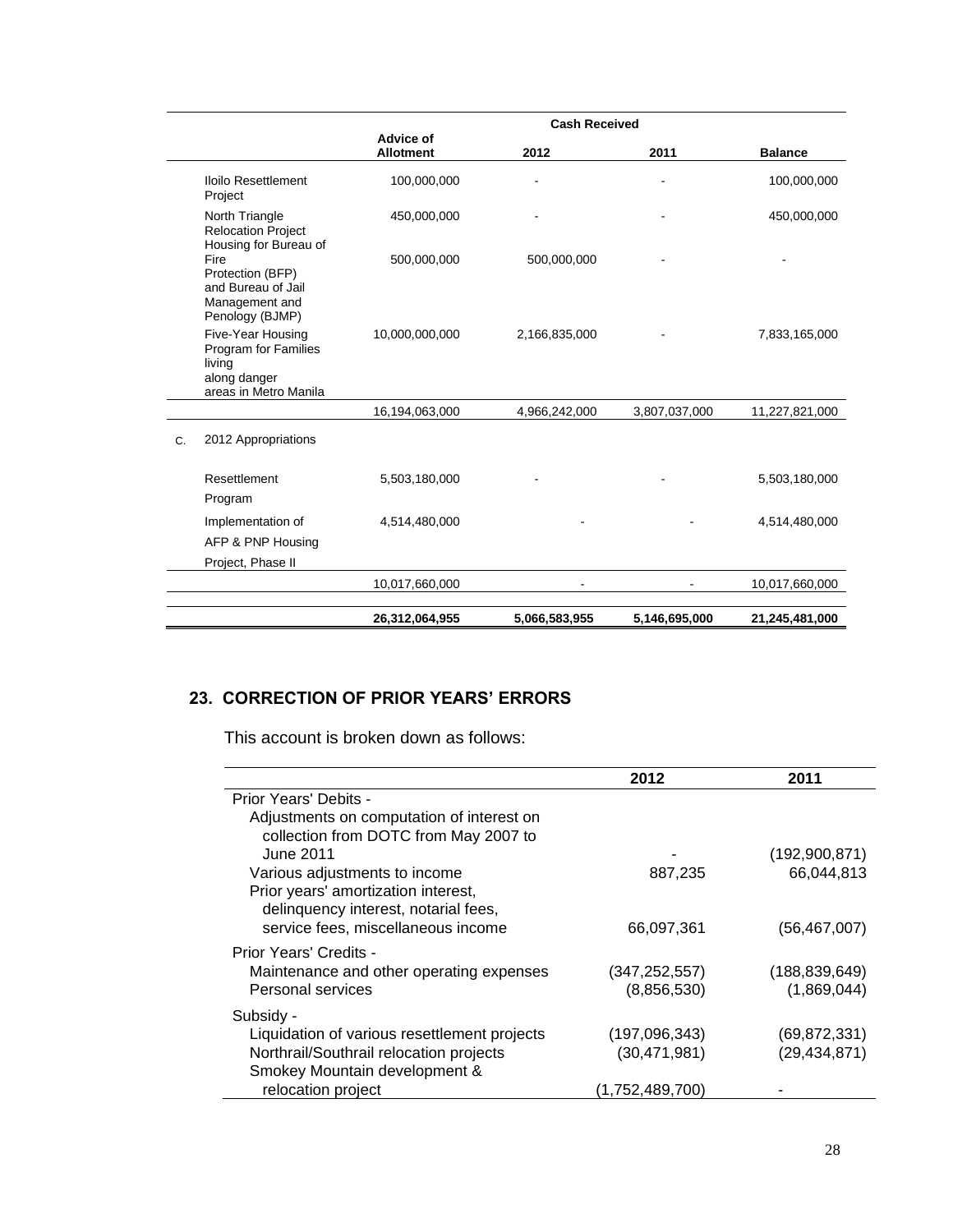|    |                                                                                              | <b>Cash Received</b>                 |               |               |                |
|----|----------------------------------------------------------------------------------------------|--------------------------------------|---------------|---------------|----------------|
|    |                                                                                              | <b>Advice of</b><br><b>Allotment</b> | 2012          | 2011          | <b>Balance</b> |
|    | Iloilo Resettlement<br>Project                                                               | 100,000,000                          |               |               | 100,000,000    |
|    | North Triangle<br><b>Relocation Project</b><br>Housing for Bureau of                         | 450,000,000                          |               |               | 450,000,000    |
|    | Fire<br>Protection (BFP)<br>and Bureau of Jail<br>Management and<br>Penology (BJMP)          | 500,000,000                          | 500,000,000   |               |                |
|    | Five-Year Housing<br>Program for Families<br>living<br>along danger<br>areas in Metro Manila | 10,000,000,000                       | 2,166,835,000 |               | 7,833,165,000  |
|    |                                                                                              | 16,194,063,000                       | 4,966,242,000 | 3,807,037,000 | 11,227,821,000 |
| C. | 2012 Appropriations                                                                          |                                      |               |               |                |
|    | Resettlement<br>Program                                                                      | 5,503,180,000                        |               |               | 5,503,180,000  |
|    | Implementation of<br>AFP & PNP Housing                                                       | 4,514,480,000                        |               |               | 4,514,480,000  |
|    | Project, Phase II                                                                            |                                      |               |               |                |
|    |                                                                                              | 10,017,660,000                       |               |               | 10,017,660,000 |
|    |                                                                                              | 26,312,064,955                       | 5,066,583,955 | 5,146,695,000 | 21,245,481,000 |

# **23. CORRECTION OF PRIOR YEARS' ERRORS**

This account is broken down as follows:

|                                                                                    | 2012            | 2011            |
|------------------------------------------------------------------------------------|-----------------|-----------------|
| Prior Years' Debits -                                                              |                 |                 |
| Adjustments on computation of interest on<br>collection from DOTC from May 2007 to |                 |                 |
| June 2011                                                                          |                 | (192,900,871)   |
| Various adjustments to income                                                      | 887,235         | 66,044,813      |
| Prior years' amortization interest,<br>delinquency interest, notarial fees,        |                 |                 |
| service fees, miscellaneous income                                                 | 66,097,361      | (56, 467, 007)  |
| Prior Years' Credits -                                                             |                 |                 |
| Maintenance and other operating expenses                                           | (347, 252, 557) | (188, 839, 649) |
| Personal services                                                                  | (8,856,530)     | (1,869,044)     |
| Subsidy -                                                                          |                 |                 |
| Liquidation of various resettlement projects                                       | (197,096,343)   | (69, 872, 331)  |
| Northrail/Southrail relocation projects                                            | (30, 471, 981)  | (29, 434, 871)  |
| Smokey Mountain development &                                                      |                 |                 |
| relocation project                                                                 | (1,752,489,700) |                 |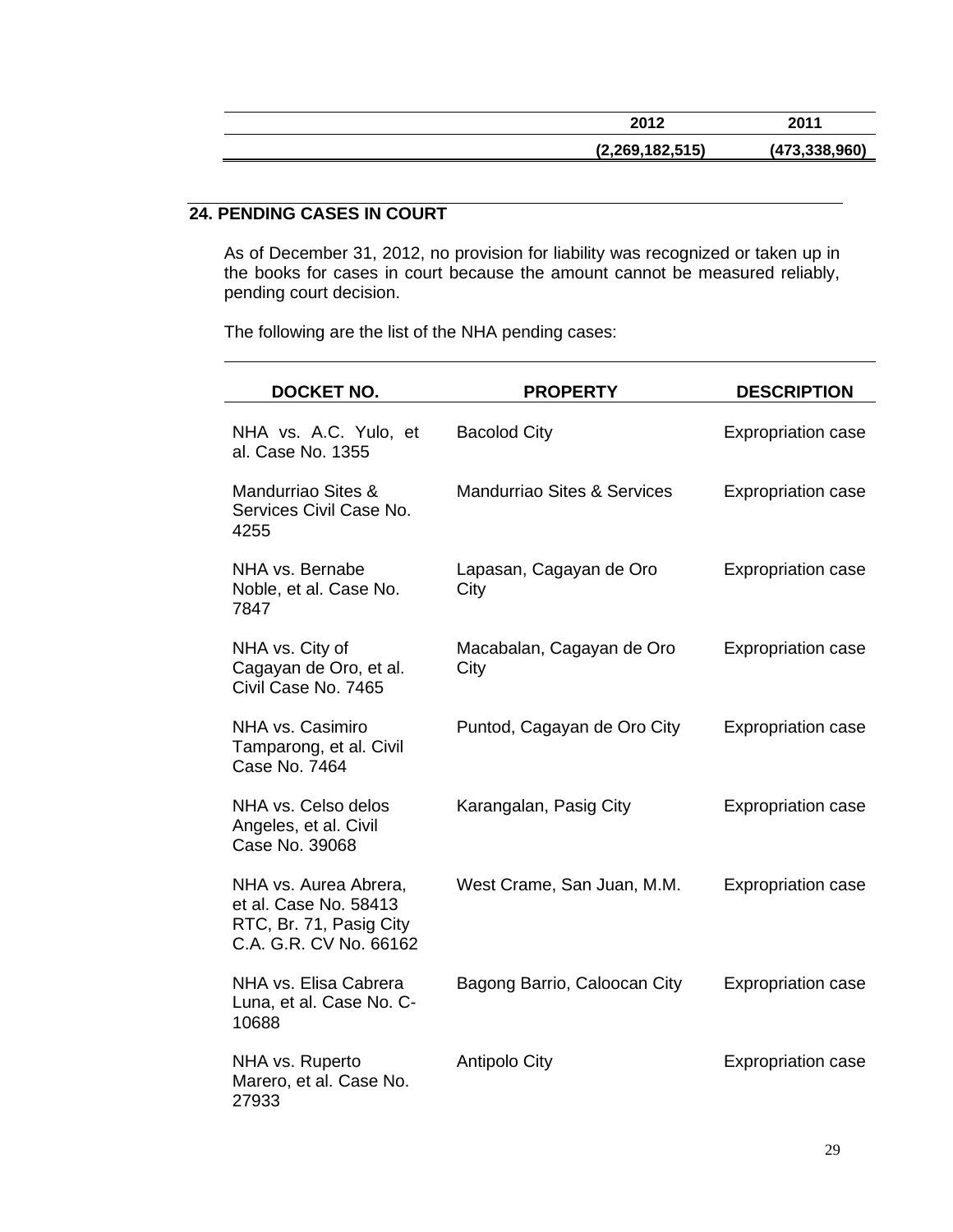| 2012            | 2011          |
|-----------------|---------------|
| (2,269,182,515) | (473.338.960) |

# **24. PENDING CASES IN COURT**

As of December 31, 2012, no provision for liability was recognized or taken up in the books for cases in court because the amount cannot be measured reliably, pending court decision.

The following are the list of the NHA pending cases:

| <b>DOCKET NO.</b>                                                                                   | <b>PROPERTY</b>                   | <b>DESCRIPTION</b>        |
|-----------------------------------------------------------------------------------------------------|-----------------------------------|---------------------------|
| NHA vs. A.C. Yulo, et<br>al. Case No. 1355                                                          | <b>Bacolod City</b>               | <b>Expropriation case</b> |
| Mandurriao Sites &<br>Services Civil Case No.<br>4255                                               | Mandurriao Sites & Services       | <b>Expropriation case</b> |
| NHA vs. Bernabe<br>Noble, et al. Case No.<br>7847                                                   | Lapasan, Cagayan de Oro<br>City   | <b>Expropriation case</b> |
| NHA vs. City of<br>Cagayan de Oro, et al.<br>Civil Case No. 7465                                    | Macabalan, Cagayan de Oro<br>City | <b>Expropriation case</b> |
| NHA vs. Casimiro<br>Tamparong, et al. Civil<br>Case No. 7464                                        | Puntod, Cagayan de Oro City       | <b>Expropriation case</b> |
| NHA vs. Celso delos<br>Angeles, et al. Civil<br>Case No. 39068                                      | Karangalan, Pasig City            | <b>Expropriation case</b> |
| NHA vs. Aurea Abrera,<br>et al. Case No. 58413<br>RTC, Br. 71, Pasig City<br>C.A. G.R. CV No. 66162 | West Crame, San Juan, M.M.        | <b>Expropriation case</b> |
| NHA vs. Elisa Cabrera<br>Luna, et al. Case No. C-<br>10688                                          | Bagong Barrio, Caloocan City      | <b>Expropriation case</b> |
| NHA vs. Ruperto<br>Marero, et al. Case No.<br>27933                                                 | <b>Antipolo City</b>              | <b>Expropriation case</b> |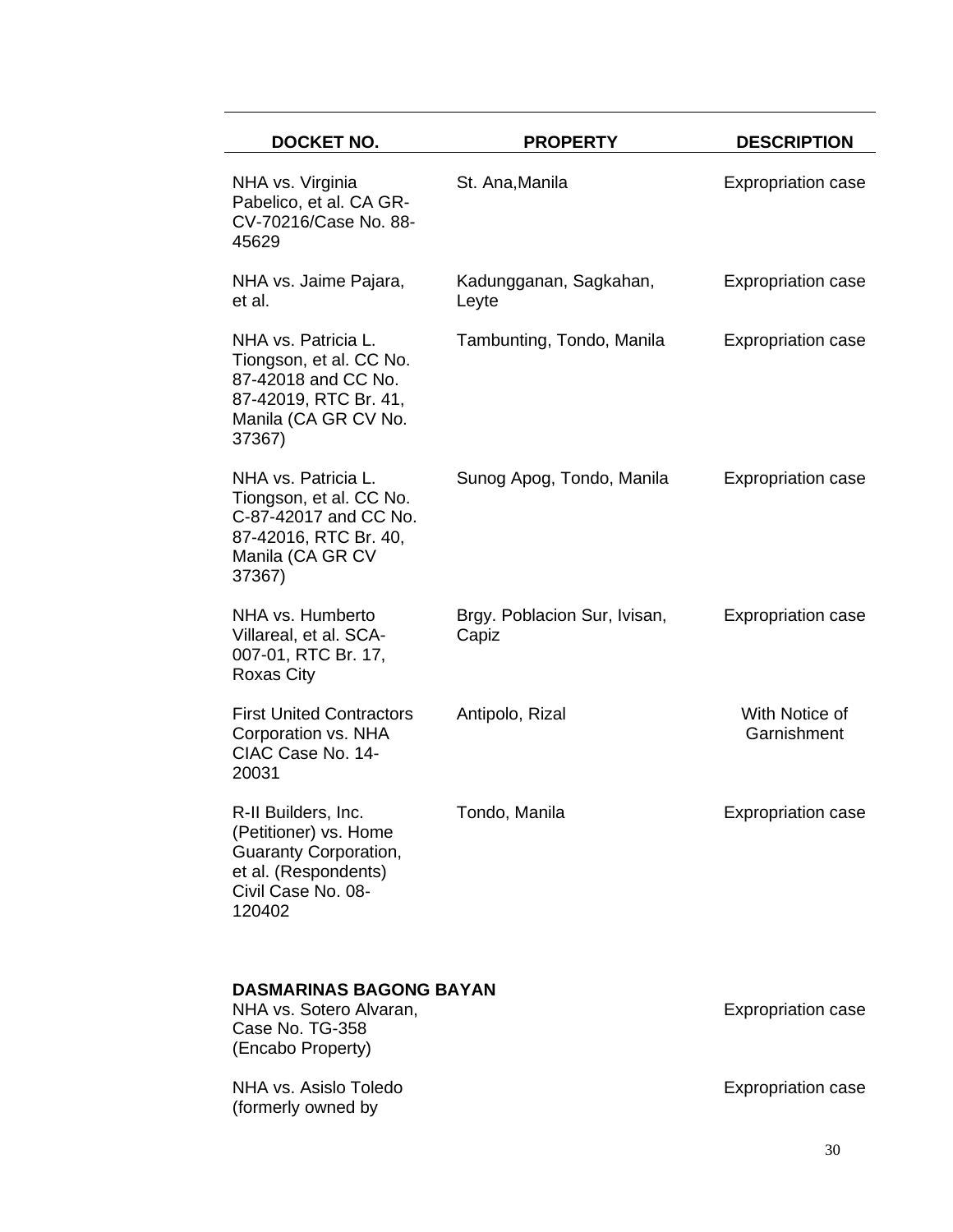| <b>DOCKET NO.</b>                                                                                                                    | <b>PROPERTY</b>                       | <b>DESCRIPTION</b>            |
|--------------------------------------------------------------------------------------------------------------------------------------|---------------------------------------|-------------------------------|
| NHA vs. Virginia<br>Pabelico, et al. CA GR-<br>CV-70216/Case No. 88-<br>45629                                                        | St. Ana, Manila                       | <b>Expropriation case</b>     |
| NHA vs. Jaime Pajara,<br>et al.                                                                                                      | Kadungganan, Sagkahan,<br>Leyte       | <b>Expropriation case</b>     |
| NHA vs. Patricia L.<br>Tiongson, et al. CC No.<br>87-42018 and CC No.<br>87-42019, RTC Br. 41,<br>Manila (CA GR CV No.<br>37367)     | Tambunting, Tondo, Manila             | <b>Expropriation case</b>     |
| NHA vs. Patricia L.<br>Tiongson, et al. CC No.<br>C-87-42017 and CC No.<br>87-42016, RTC Br. 40,<br>Manila (CA GR CV<br>37367)       | Sunog Apog, Tondo, Manila             | <b>Expropriation case</b>     |
| NHA vs. Humberto<br>Villareal, et al. SCA-<br>007-01, RTC Br. 17,<br>Roxas City                                                      | Brgy. Poblacion Sur, Ivisan,<br>Capiz | <b>Expropriation case</b>     |
| <b>First United Contractors</b><br>Corporation vs. NHA<br>CIAC Case No. 14-<br>20031                                                 | Antipolo, Rizal                       | With Notice of<br>Garnishment |
| R-II Builders, Inc.<br>(Petitioner) vs. Home<br><b>Guaranty Corporation,</b><br>et al. (Respondents)<br>Civil Case No. 08-<br>120402 | Tondo, Manila                         | <b>Expropriation case</b>     |
| <b>DASMARINAS BAGONG BAYAN</b><br>NHA vs. Sotero Alvaran,<br>Case No. TG-358<br>(Encabo Property)                                    |                                       | <b>Expropriation case</b>     |
| NHA vs. Asislo Toledo                                                                                                                |                                       | <b>Expropriation case</b>     |

NHA vs. Asislo Toledo (formerly owned by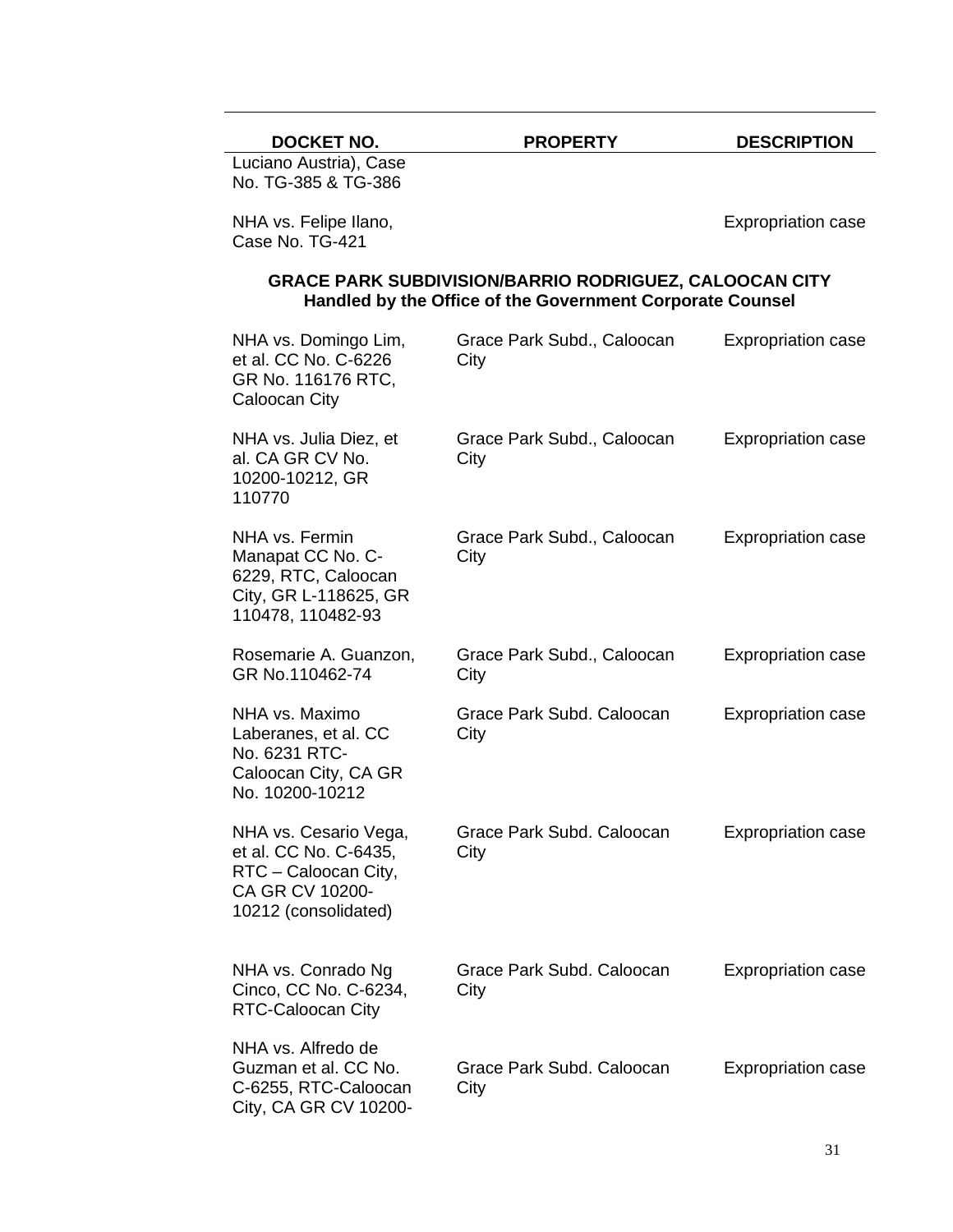| <b>DOCKET NO.</b> | <b>PROPERTY</b> | <b>DESCRIPTION</b> |
|-------------------|-----------------|--------------------|

Luciano Austria), Case No. TG-385 & TG-386

NHA vs. Felipe Ilano, Case No. TG-421

Expropriation case

# **GRACE PARK SUBDIVISION/BARRIO RODRIGUEZ, CALOOCAN CITY Handled by the Office of the Government Corporate Counsel**

| NHA vs. Domingo Lim,<br>et al. CC No. C-6226<br>GR No. 116176 RTC,<br><b>Caloocan City</b>                        | Grace Park Subd., Caloocan<br>City | <b>Expropriation case</b> |
|-------------------------------------------------------------------------------------------------------------------|------------------------------------|---------------------------|
| NHA vs. Julia Diez, et<br>al. CA GR CV No.<br>10200-10212, GR<br>110770                                           | Grace Park Subd., Caloocan<br>City | <b>Expropriation case</b> |
| NHA vs. Fermin<br>Manapat CC No. C-<br>6229, RTC, Caloocan<br>City, GR L-118625, GR<br>110478, 110482-93          | Grace Park Subd., Caloocan<br>City | <b>Expropriation case</b> |
| Rosemarie A. Guanzon,<br>GR No.110462-74                                                                          | Grace Park Subd., Caloocan<br>City | <b>Expropriation case</b> |
| NHA vs. Maximo<br>Laberanes, et al. CC<br>No. 6231 RTC-<br>Caloocan City, CA GR<br>No. 10200-10212                | Grace Park Subd. Caloocan<br>City  | <b>Expropriation case</b> |
| NHA vs. Cesario Vega,<br>et al. CC No. C-6435,<br>RTC - Caloocan City,<br>CA GR CV 10200-<br>10212 (consolidated) | Grace Park Subd. Caloocan<br>City  | <b>Expropriation case</b> |
| NHA vs. Conrado Ng<br>Cinco, CC No. C-6234,<br>RTC-Caloocan City                                                  | Grace Park Subd. Caloocan<br>City  | <b>Expropriation case</b> |
| NHA vs. Alfredo de<br>Guzman et al. CC No.<br>C-6255, RTC-Caloocan<br>City, CA GR CV 10200-                       | Grace Park Subd. Caloocan<br>City  | <b>Expropriation case</b> |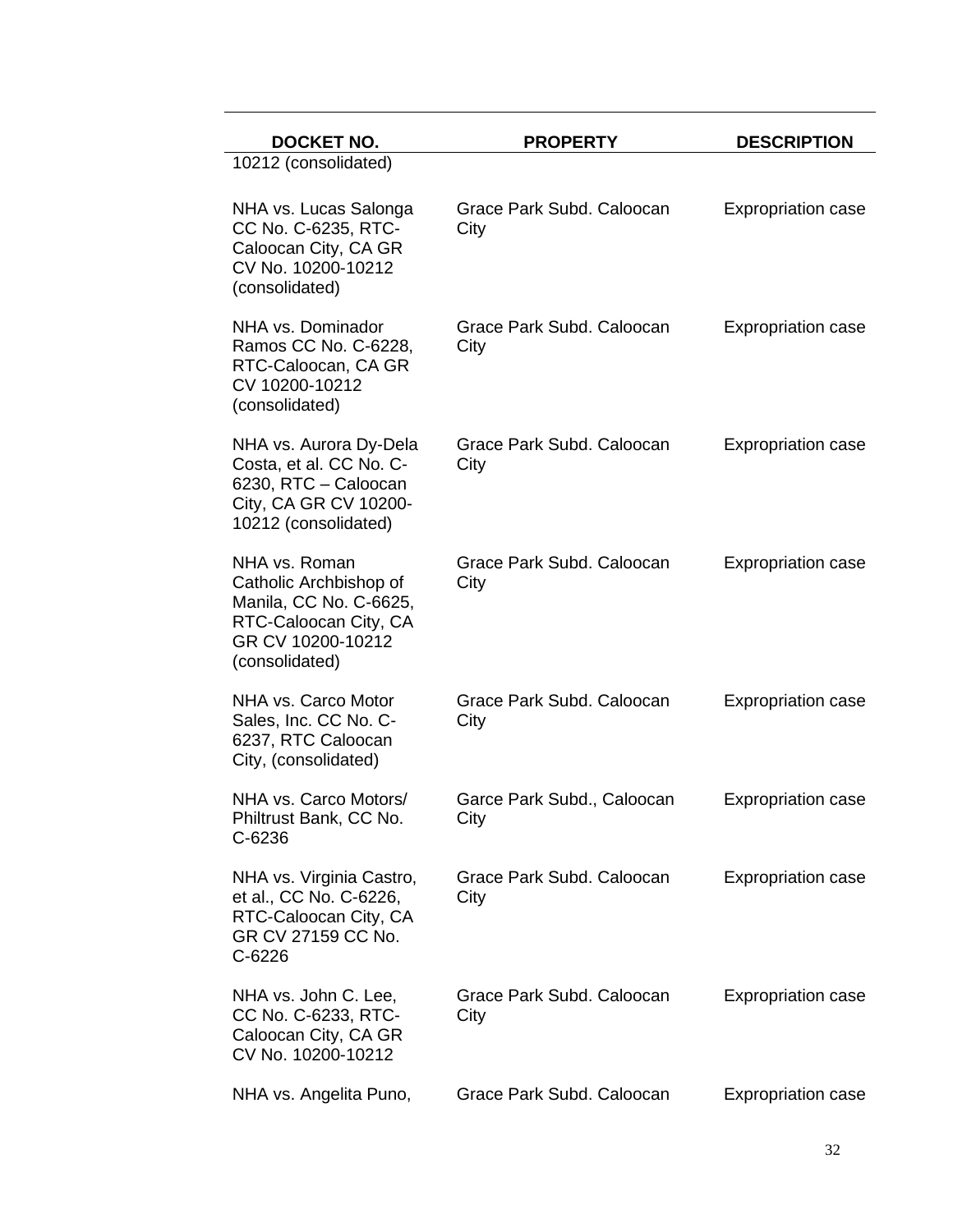| <b>DOCKET NO.</b>                                                                                                                 | <b>PROPERTY</b>                    | <b>DESCRIPTION</b>        |
|-----------------------------------------------------------------------------------------------------------------------------------|------------------------------------|---------------------------|
| 10212 (consolidated)                                                                                                              |                                    |                           |
| NHA vs. Lucas Salonga<br>CC No. C-6235, RTC-<br>Caloocan City, CA GR<br>CV No. 10200-10212<br>(consolidated)                      | Grace Park Subd. Caloocan<br>City  | <b>Expropriation case</b> |
| NHA vs. Dominador<br>Ramos CC No. C-6228,<br>RTC-Caloocan, CA GR<br>CV 10200-10212<br>(consolidated)                              | Grace Park Subd. Caloocan<br>City  | <b>Expropriation case</b> |
| NHA vs. Aurora Dy-Dela<br>Costa, et al. CC No. C-<br>6230, RTC - Caloocan<br>City, CA GR CV 10200-<br>10212 (consolidated)        | Grace Park Subd, Caloocan<br>City  | <b>Expropriation case</b> |
| NHA vs. Roman<br>Catholic Archbishop of<br>Manila, CC No. C-6625,<br>RTC-Caloocan City, CA<br>GR CV 10200-10212<br>(consolidated) | Grace Park Subd. Caloocan<br>City  | <b>Expropriation case</b> |
| NHA vs. Carco Motor<br>Sales, Inc. CC No. C-<br>6237, RTC Caloocan<br>City, (consolidated)                                        | Grace Park Subd. Caloocan<br>City  | <b>Expropriation case</b> |
| NHA vs. Carco Motors/<br>Philtrust Bank, CC No.<br>$C-6236$                                                                       | Garce Park Subd., Caloocan<br>City | <b>Expropriation case</b> |
| NHA vs. Virginia Castro,<br>et al., CC No. C-6226,<br>RTC-Caloocan City, CA<br>GR CV 27159 CC No.<br>$C-6226$                     | Grace Park Subd. Caloocan<br>City  | <b>Expropriation case</b> |
| NHA vs. John C. Lee,<br>CC No. C-6233, RTC-<br>Caloocan City, CA GR<br>CV No. 10200-10212                                         | Grace Park Subd. Caloocan<br>City  | <b>Expropriation case</b> |
| NHA vs. Angelita Puno,                                                                                                            | Grace Park Subd. Caloocan          | <b>Expropriation case</b> |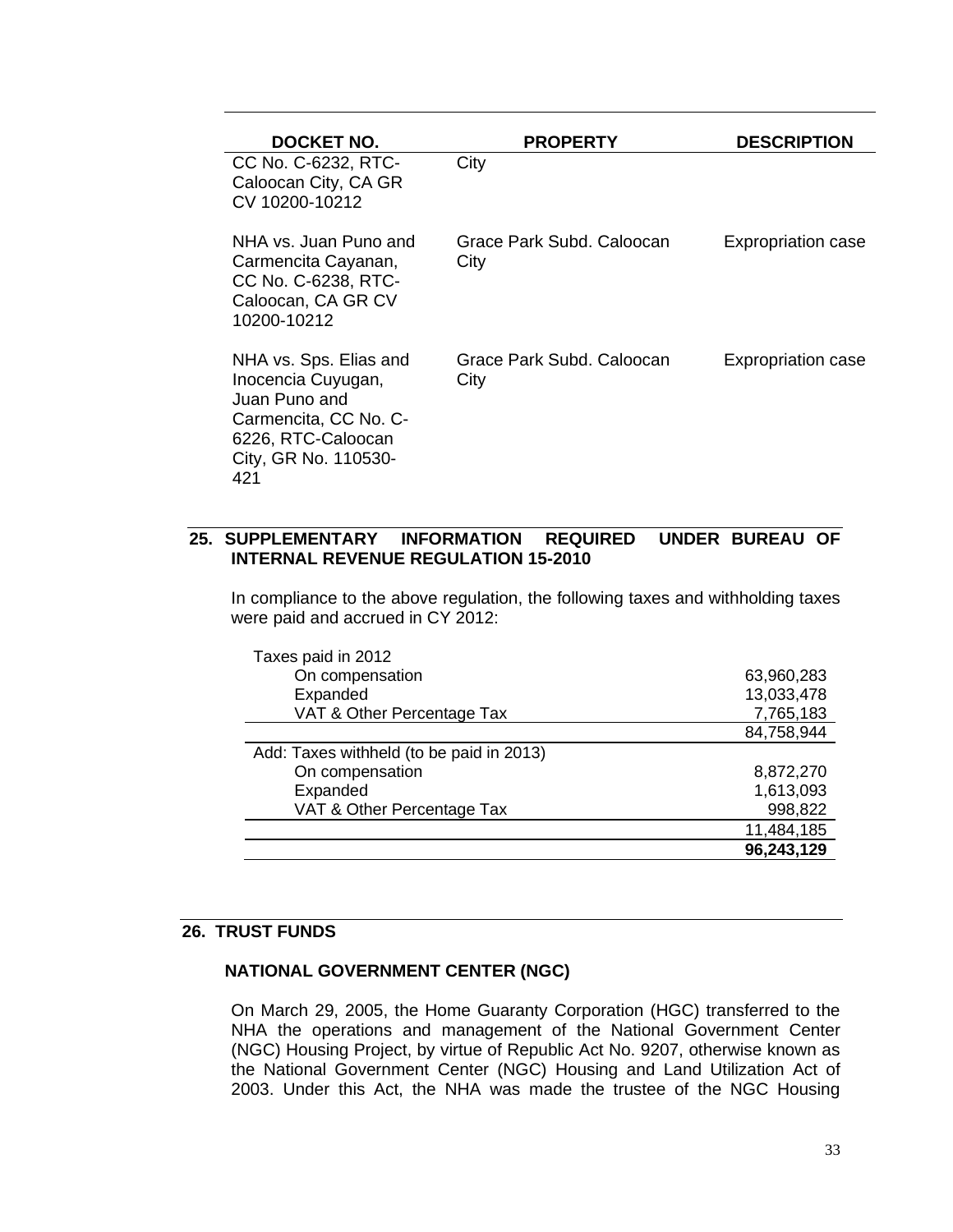| DOCKET NO.                                                                                                                                  | <b>PROPERTY</b>                   | <b>DESCRIPTION</b>        |
|---------------------------------------------------------------------------------------------------------------------------------------------|-----------------------------------|---------------------------|
| CC No. C-6232, RTC-<br>Caloocan City, CA GR<br>CV 10200-10212                                                                               | City                              |                           |
| NHA vs. Juan Puno and<br>Carmencita Cayanan,<br>CC No. C-6238, RTC-<br>Caloocan, CA GR CV<br>10200-10212                                    | Grace Park Subd, Caloocan<br>City | <b>Expropriation case</b> |
| NHA vs. Sps. Elias and<br>Inocencia Cuyugan,<br>Juan Puno and<br>Carmencita, CC No. C-<br>6226, RTC-Caloocan<br>City, GR No. 110530-<br>421 | Grace Park Subd, Caloocan<br>City | <b>Expropriation case</b> |

# **25. SUPPLEMENTARY INFORMATION REQUIRED UNDER BUREAU OF INTERNAL REVENUE REGULATION 15-2010**

In compliance to the above regulation, the following taxes and withholding taxes were paid and accrued in CY 2012:

| Taxes paid in 2012                       |            |
|------------------------------------------|------------|
| On compensation                          | 63,960,283 |
| Expanded                                 | 13,033,478 |
| VAT & Other Percentage Tax               | 7,765,183  |
|                                          | 84,758,944 |
| Add: Taxes withheld (to be paid in 2013) |            |
| On compensation                          | 8,872,270  |
| Expanded                                 | 1,613,093  |
| VAT & Other Percentage Tax               | 998,822    |
|                                          | 11,484,185 |
|                                          | 96,243,129 |

### **26. TRUST FUNDS**

### **NATIONAL GOVERNMENT CENTER (NGC)**

On March 29, 2005, the Home Guaranty Corporation (HGC) transferred to the NHA the operations and management of the National Government Center (NGC) Housing Project, by virtue of Republic Act No. 9207, otherwise known as the National Government Center (NGC) Housing and Land Utilization Act of 2003. Under this Act, the NHA was made the trustee of the NGC Housing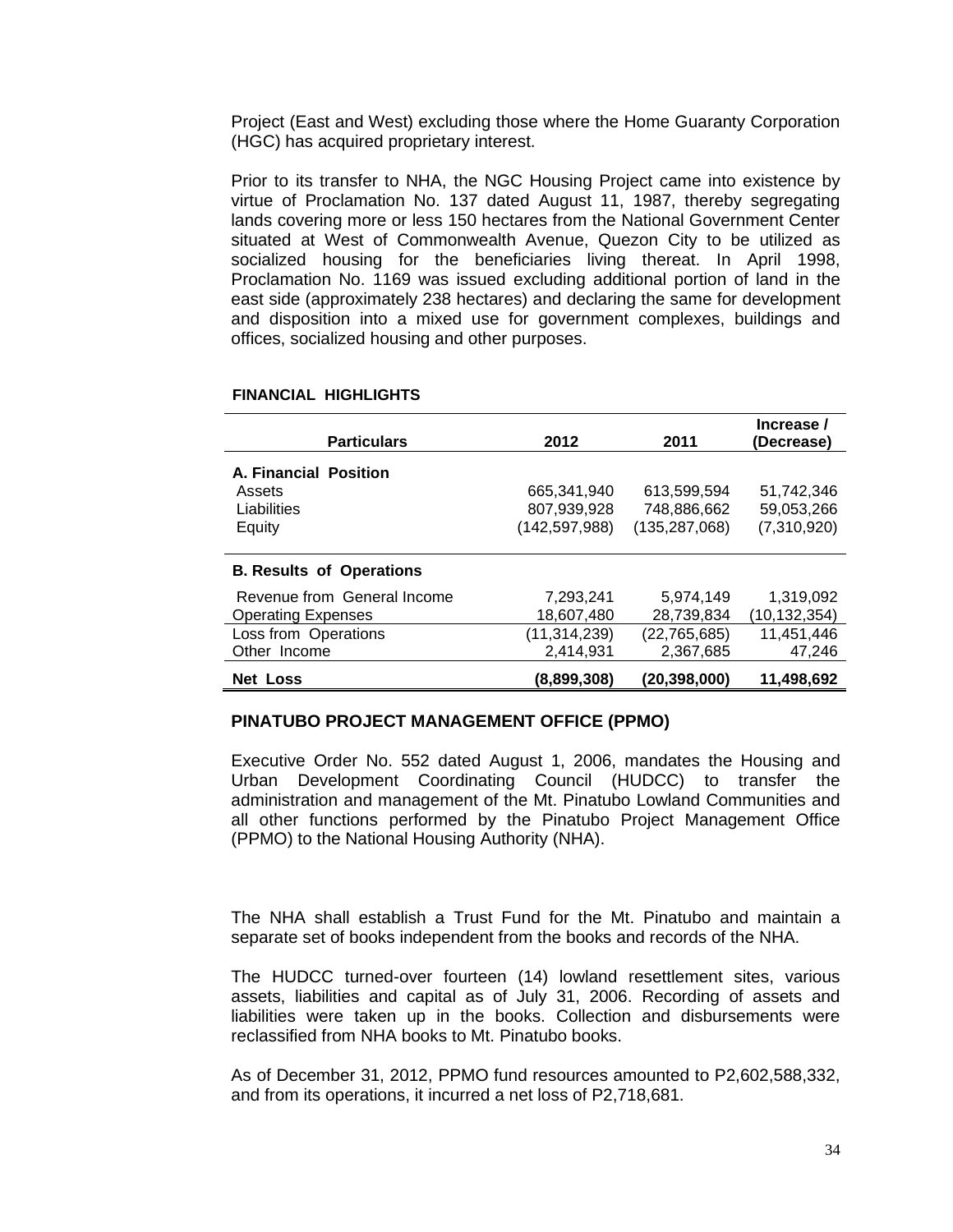Project (East and West) excluding those where the Home Guaranty Corporation (HGC) has acquired proprietary interest.

Prior to its transfer to NHA, the NGC Housing Project came into existence by virtue of Proclamation No. 137 dated August 11, 1987, thereby segregating lands covering more or less 150 hectares from the National Government Center situated at West of Commonwealth Avenue, Quezon City to be utilized as socialized housing for the beneficiaries living thereat. In April 1998, Proclamation No. 1169 was issued excluding additional portion of land in the east side (approximately 238 hectares) and declaring the same for development and disposition into a mixed use for government complexes, buildings and offices, socialized housing and other purposes.

| <b>Particulars</b>              | 2012          | 2011            | Increase /<br>(Decrease) |
|---------------------------------|---------------|-----------------|--------------------------|
| A. Financial Position           |               |                 |                          |
| Assets                          | 665.341.940   | 613.599.594     | 51.742.346               |
| Liabilities                     | 807,939,928   | 748.886.662     | 59,053,266               |
| Equity                          | (142,597,988) | (135, 287, 068) | (7,310,920)              |
|                                 |               |                 |                          |
| <b>B. Results of Operations</b> |               |                 |                          |
| Revenue from General Income     | 7,293,241     | 5.974.149       | 1,319,092                |
| <b>Operating Expenses</b>       | 18,607,480    | 28,739,834      | (10,132,354)             |
| Loss from Operations            | (11,314,239)  | (22, 765, 685)  | 11,451,446               |
| Other Income                    | 2,414,931     | 2,367,685       | 47,246                   |
| <b>Net Loss</b>                 | (8,899,308)   | (20,398,000)    | 11,498,692               |

#### **FINANCIAL HIGHLIGHTS**

#### **PINATUBO PROJECT MANAGEMENT OFFICE (PPMO)**

Executive Order No. 552 dated August 1, 2006, mandates the Housing and Urban Development Coordinating Council (HUDCC) to transfer the administration and management of the Mt. Pinatubo Lowland Communities and all other functions performed by the Pinatubo Project Management Office (PPMO) to the National Housing Authority (NHA).

The NHA shall establish a Trust Fund for the Mt. Pinatubo and maintain a separate set of books independent from the books and records of the NHA.

The HUDCC turned-over fourteen (14) lowland resettlement sites, various assets, liabilities and capital as of July 31, 2006. Recording of assets and liabilities were taken up in the books. Collection and disbursements were reclassified from NHA books to Mt. Pinatubo books.

As of December 31, 2012, PPMO fund resources amounted to P2,602,588,332, and from its operations, it incurred a net loss of P2,718,681.